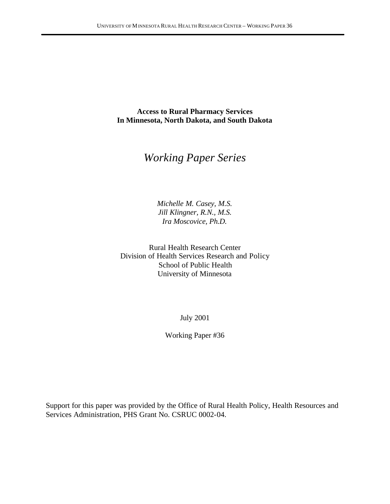**Access to Rural Pharmacy Services In Minnesota, North Dakota, and South Dakota**

# *Working Paper Series*

*Michelle M. Casey, M.S. Jill Klingner, R.N., M.S. Ira Moscovice, Ph.D.*

Rural Health Research Center Division of Health Services Research and Policy School of Public Health University of Minnesota

July 2001

Working Paper #36

Support for this paper was provided by the Office of Rural Health Policy, Health Resources and Services Administration, PHS Grant No. CSRUC 0002-04.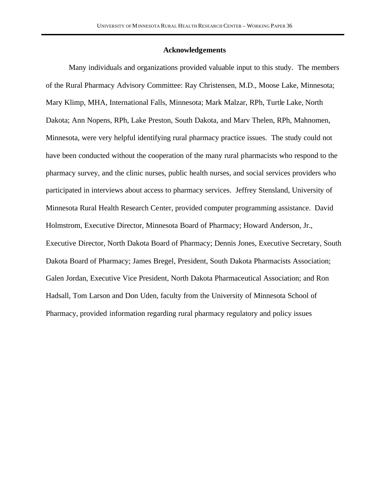#### **Acknowledgements**

Many individuals and organizations provided valuable input to this study. The members of the Rural Pharmacy Advisory Committee: Ray Christensen, M.D., Moose Lake, Minnesota; Mary Klimp, MHA, International Falls, Minnesota; Mark Malzar, RPh, Turtle Lake, North Dakota; Ann Nopens, RPh, Lake Preston, South Dakota, and Marv Thelen, RPh, Mahnomen, Minnesota, were very helpful identifying rural pharmacy practice issues. The study could not have been conducted without the cooperation of the many rural pharmacists who respond to the pharmacy survey, and the clinic nurses, public health nurses, and social services providers who participated in interviews about access to pharmacy services. Jeffrey Stensland, University of Minnesota Rural Health Research Center, provided computer programming assistance. David Holmstrom, Executive Director, Minnesota Board of Pharmacy; Howard Anderson, Jr., Executive Director, North Dakota Board of Pharmacy; Dennis Jones, Executive Secretary, South Dakota Board of Pharmacy; James Bregel, President, South Dakota Pharmacists Association; Galen Jordan, Executive Vice President, North Dakota Pharmaceutical Association; and Ron Hadsall, Tom Larson and Don Uden, faculty from the University of Minnesota School of Pharmacy, provided information regarding rural pharmacy regulatory and policy issues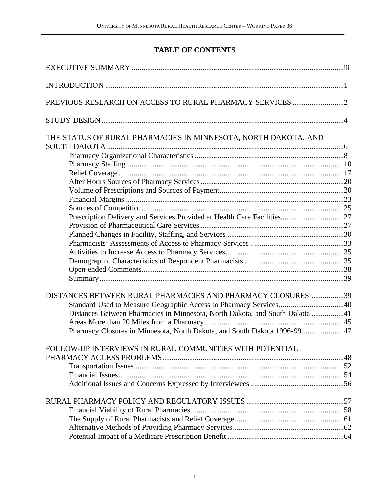# **TABLE OF CONTENTS**

| THE STATUS OF RURAL PHARMACIES IN MINNESOTA, NORTH DAKOTA, AND               |  |
|------------------------------------------------------------------------------|--|
|                                                                              |  |
|                                                                              |  |
|                                                                              |  |
|                                                                              |  |
|                                                                              |  |
|                                                                              |  |
|                                                                              |  |
|                                                                              |  |
|                                                                              |  |
|                                                                              |  |
|                                                                              |  |
|                                                                              |  |
|                                                                              |  |
|                                                                              |  |
|                                                                              |  |
| DISTANCES BETWEEN RURAL PHARMACIES AND PHARMACY CLOSURES 39                  |  |
| Standard Used to Measure Geographic Access to Pharmacy Services40            |  |
| Distances Between Pharmacies in Minnesota, North Dakota, and South Dakota 41 |  |
|                                                                              |  |
| Pharmacy Closures in Minnesota, North Dakota, and South Dakota 1996-9947     |  |
| FOLLOW-UP INTERVIEWS IN RURAL COMMUNITIES WITH POTENTIAL                     |  |
|                                                                              |  |
|                                                                              |  |
|                                                                              |  |
|                                                                              |  |
|                                                                              |  |
|                                                                              |  |
|                                                                              |  |
|                                                                              |  |
|                                                                              |  |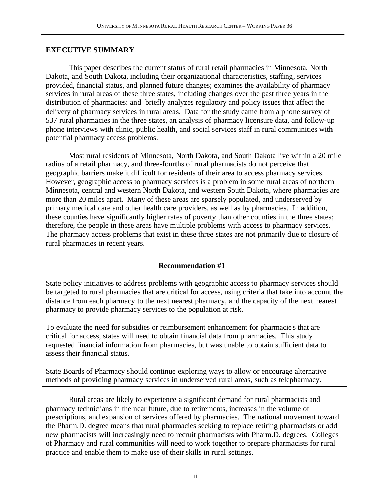#### **EXECUTIVE SUMMARY**

This paper describes the current status of rural retail pharmacies in Minnesota, North Dakota, and South Dakota, including their organizational characteristics, staffing, services provided, financial status, and planned future changes; examines the availability of pharmacy services in rural areas of these three states, including changes over the past three years in the distribution of pharmacies; and briefly analyzes regulatory and policy issues that affect the delivery of pharmacy services in rural areas. Data for the study came from a phone survey of 537 rural pharmacies in the three states, an analysis of pharmacy licensure data, and follow-up phone interviews with clinic, public health, and social services staff in rural communities with potential pharmacy access problems.

Most rural residents of Minnesota, North Dakota, and South Dakota live within a 20 mile radius of a retail pharmacy, and three-fourths of rural pharmacists do not perceive that geographic barriers make it difficult for residents of their area to access pharmacy services. However, geographic access to pharmacy services is a problem in some rural areas of northern Minnesota, central and western North Dakota, and western South Dakota, where pharmacies are more than 20 miles apart. Many of these areas are sparsely populated, and underserved by primary medical care and other health care providers, as well as by pharmacies. In addition, these counties have significantly higher rates of poverty than other counties in the three states; therefore, the people in these areas have multiple problems with access to pharmacy services. The pharmacy access problems that exist in these three states are not primarily due to closure of rural pharmacies in recent years.

### **Recommendation #1**

State policy initiatives to address problems with geographic access to pharmacy services should be targeted to rural pharmacies that are critical for access, using criteria that take into account the distance from each pharmacy to the next nearest pharmacy, and the capacity of the next nearest pharmacy to provide pharmacy services to the population at risk.

To evaluate the need for subsidies or reimbursement enhancement for pharmacie s that are critical for access, states will need to obtain financial data from pharmacies. This study requested financial information from pharmacies, but was unable to obtain sufficient data to assess their financial status.

State Boards of Pharmacy should continue exploring ways to allow or encourage alternative methods of providing pharmacy services in underserved rural areas, such as telepharmacy.

Rural areas are likely to experience a significant demand for rural pharmacists and pharmacy technic ians in the near future, due to retirements, increases in the volume of prescriptions, and expansion of services offered by pharmacies. The national movement toward the Pharm.D. degree means that rural pharmacies seeking to replace retiring pharmacists or add new pharmacists will increasingly need to recruit pharmacists with Pharm.D. degrees. Colleges of Pharmacy and rural communities will need to work together to prepare pharmacists for rural practice and enable them to make use of their skills in rural settings.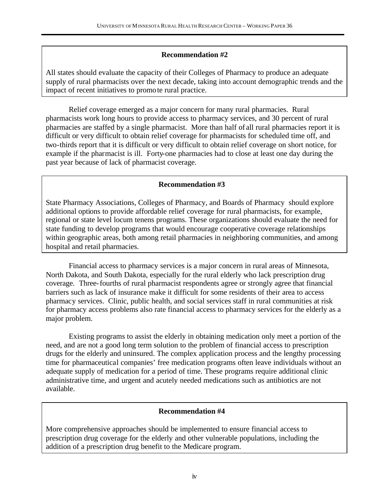### **Recommendation #2**

All states should evaluate the capacity of their Colleges of Pharmacy to produce an adequate supply of rural pharmacists over the next decade, taking into account demographic trends and the impact of recent initiatives to promote rural practice.

Relief coverage emerged as a major concern for many rural pharmacies. Rural pharmacists work long hours to provide access to pharmacy services, and 30 percent of rural pharmacies are staffed by a single pharmacist. More than half of all rural pharmacies report it is difficult or very difficult to obtain relief coverage for pharmacists for scheduled time off, and two-thirds report that it is difficult or very difficult to obtain relief coverage on short notice, for example if the pharmacist is ill. Forty-one pharmacies had to close at least one day during the past year because of lack of pharmacist coverage.

### **Recommendation #3**

State Pharmacy Associations, Colleges of Pharmacy, and Boards of Pharmacy should explore additional options to provide affordable relief coverage for rural pharmacists, for example, regional or state level locum tenens programs. These organizations should evaluate the need for state funding to develop programs that would encourage cooperative coverage relationships within geographic areas, both among retail pharmacies in neighboring communities, and among hospital and retail pharmacies.

Financial access to pharmacy services is a major concern in rural areas of Minnesota, North Dakota, and South Dakota, especially for the rural elderly who lack prescription drug coverage. Three-fourths of rural pharmacist respondents agree or strongly agree that financial barriers such as lack of insurance make it difficult for some residents of their area to access pharmacy services. Clinic, public health, and social services staff in rural communities at risk for pharmacy access problems also rate financial access to pharmacy services for the elderly as a major problem.

Existing programs to assist the elderly in obtaining medication only meet a portion of the need, and are not a good long term solution to the problem of financial access to prescription drugs for the elderly and uninsured. The complex application process and the lengthy processing time for pharmaceutical companies' free medication programs often leave individuals without an adequate supply of medication for a period of time. These programs require additional clinic administrative time, and urgent and acutely needed medications such as antibiotics are not available.

### **Recommendation #4**

More comprehensive approaches should be implemented to ensure financial access to prescription drug coverage for the elderly and other vulnerable populations, including the addition of a prescription drug benefit to the Medicare program.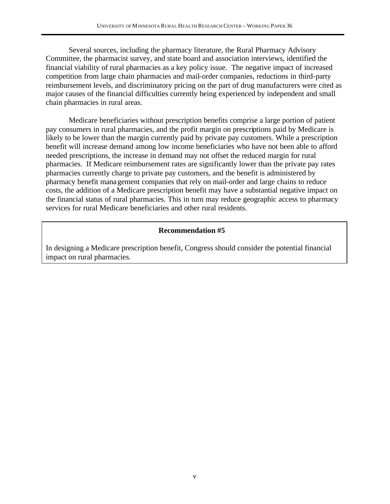Several sources, including the pharmacy literature, the Rural Pharmacy Advisory Committee, the pharmacist survey, and state board and association interviews, identified the financial viability of rural pharmacies as a key policy issue. The negative impact of increased competition from large chain pharmacies and mail-order companies, reductions in third-party reimbursement levels, and discriminatory pricing on the part of drug manufacturers were cited as major causes of the financial difficulties currently being experienced by independent and small chain pharmacies in rural areas.

Medicare beneficiaries without prescription benefits comprise a large portion of patient pay consumers in rural pharmacies, and the profit margin on prescriptions paid by Medicare is likely to be lower than the margin currently paid by private pay customers. While a prescription benefit will increase demand among low income beneficiaries who have not been able to afford needed prescriptions, the increase in demand may not offset the reduced margin for rural pharmacies. If Medicare reimbursement rates are significantly lower than the private pay rates pharmacies currently charge to private pay customers, and the benefit is administered by pharmacy benefit management companies that rely on mail-order and large chains to reduce costs, the addition of a Medicare prescription benefit may have a substantial negative impact on the financial status of rural pharmacies. This in turn may reduce geographic access to pharmacy services for rural Medicare beneficiaries and other rural residents.

### **Recommendation #5**

In designing a Medicare prescription benefit, Congress should consider the potential financial impact on rural pharmacies.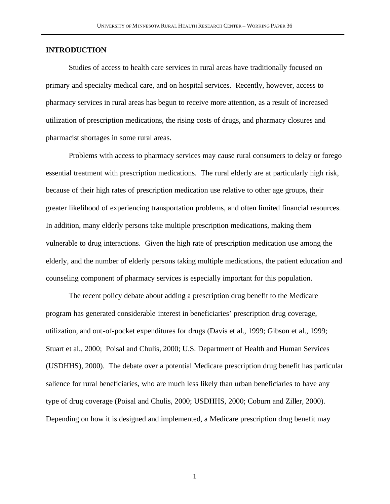#### **INTRODUCTION**

Studies of access to health care services in rural areas have traditionally focused on primary and specialty medical care, and on hospital services. Recently, however, access to pharmacy services in rural areas has begun to receive more attention, as a result of increased utilization of prescription medications, the rising costs of drugs, and pharmacy closures and pharmacist shortages in some rural areas.

Problems with access to pharmacy services may cause rural consumers to delay or forego essential treatment with prescription medications. The rural elderly are at particularly high risk, because of their high rates of prescription medication use relative to other age groups, their greater likelihood of experiencing transportation problems, and often limited financial resources. In addition, many elderly persons take multiple prescription medications, making them vulnerable to drug interactions. Given the high rate of prescription medication use among the elderly, and the number of elderly persons taking multiple medications, the patient education and counseling component of pharmacy services is especially important for this population.

The recent policy debate about adding a prescription drug benefit to the Medicare program has generated considerable interest in beneficiaries' prescription drug coverage, utilization, and out-of-pocket expenditures for drugs (Davis et al., 1999; Gibson et al., 1999; Stuart et al., 2000; Poisal and Chulis, 2000; U.S. Department of Health and Human Services (USDHHS), 2000). The debate over a potential Medicare prescription drug benefit has particular salience for rural beneficiaries, who are much less likely than urban beneficiaries to have any type of drug coverage (Poisal and Chulis, 2000; USDHHS, 2000; Coburn and Ziller, 2000). Depending on how it is designed and implemented, a Medicare prescription drug benefit may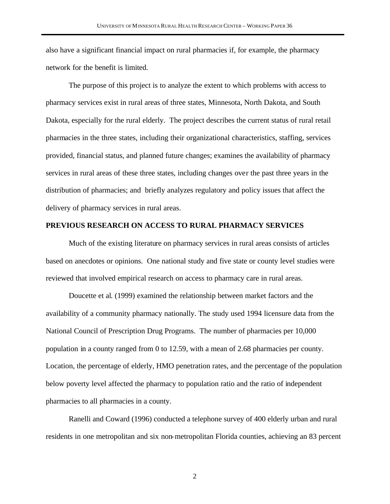also have a significant financial impact on rural pharmacies if, for example, the pharmacy network for the benefit is limited.

The purpose of this project is to analyze the extent to which problems with access to pharmacy services exist in rural areas of three states, Minnesota, North Dakota, and South Dakota, especially for the rural elderly. The project describes the current status of rural retail pharmacies in the three states, including their organizational characteristics, staffing, services provided, financial status, and planned future changes; examines the availability of pharmacy services in rural areas of these three states, including changes over the past three years in the distribution of pharmacies; and briefly analyzes regulatory and policy issues that affect the delivery of pharmacy services in rural areas.

#### **PREVIOUS RESEARCH ON ACCESS TO RURAL PHARMACY SERVICES**

Much of the existing literature on pharmacy services in rural areas consists of articles based on anecdotes or opinions. One national study and five state or county level studies were reviewed that involved empirical research on access to pharmacy care in rural areas.

Doucette et al. (1999) examined the relationship between market factors and the availability of a community pharmacy nationally. The study used 1994 licensure data from the National Council of Prescription Drug Programs. The number of pharmacies per 10,000 population in a county ranged from 0 to 12.59, with a mean of 2.68 pharmacies per county. Location, the percentage of elderly, HMO penetration rates, and the percentage of the population below poverty level affected the pharmacy to population ratio and the ratio of independent pharmacies to all pharmacies in a county.

Ranelli and Coward (1996) conducted a telephone survey of 400 elderly urban and rural residents in one metropolitan and six non-metropolitan Florida counties, achieving an 83 percent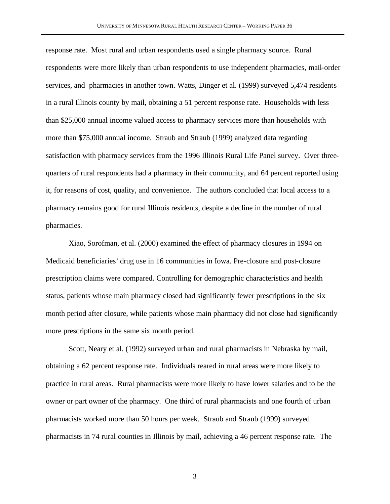response rate. Most rural and urban respondents used a single pharmacy source. Rural respondents were more likely than urban respondents to use independent pharmacies, mail-order services, and pharmacies in another town. Watts, Dinger et al. (1999) surveyed 5,474 residents in a rural Illinois county by mail, obtaining a 51 percent response rate. Households with less than \$25,000 annual income valued access to pharmacy services more than households with more than \$75,000 annual income. Straub and Straub (1999) analyzed data regarding satisfaction with pharmacy services from the 1996 Illinois Rural Life Panel survey. Over threequarters of rural respondents had a pharmacy in their community, and 64 percent reported using it, for reasons of cost, quality, and convenience. The authors concluded that local access to a pharmacy remains good for rural Illinois residents, despite a decline in the number of rural pharmacies.

Xiao, Sorofman, et al. (2000) examined the effect of pharmacy closures in 1994 on Medicaid beneficiaries' drug use in 16 communities in Iowa. Pre-closure and post-closure prescription claims were compared. Controlling for demographic characteristics and health status, patients whose main pharmacy closed had significantly fewer prescriptions in the six month period after closure, while patients whose main pharmacy did not close had significantly more prescriptions in the same six month period.

Scott, Neary et al. (1992) surveyed urban and rural pharmacists in Nebraska by mail, obtaining a 62 percent response rate. Individuals reared in rural areas were more likely to practice in rural areas. Rural pharmacists were more likely to have lower salaries and to be the owner or part owner of the pharmacy. One third of rural pharmacists and one fourth of urban pharmacists worked more than 50 hours per week. Straub and Straub (1999) surveyed pharmacists in 74 rural counties in Illinois by mail, achieving a 46 percent response rate. The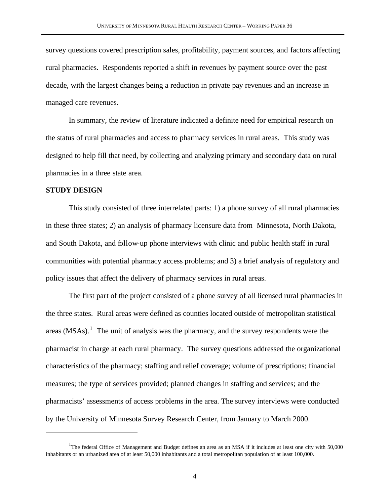survey questions covered prescription sales, profitability, payment sources, and factors affecting rural pharmacies. Respondents reported a shift in revenues by payment source over the past decade, with the largest changes being a reduction in private pay revenues and an increase in managed care revenues.

In summary, the review of literature indicated a definite need for empirical research on the status of rural pharmacies and access to pharmacy services in rural areas. This study was designed to help fill that need, by collecting and analyzing primary and secondary data on rural pharmacies in a three state area.

#### **STUDY DESIGN**

 $\overline{a}$ 

This study consisted of three interrelated parts: 1) a phone survey of all rural pharmacies in these three states; 2) an analysis of pharmacy licensure data from Minnesota, North Dakota, and South Dakota, and follow-up phone interviews with clinic and public health staff in rural communities with potential pharmacy access problems; and 3) a brief analysis of regulatory and policy issues that affect the delivery of pharmacy services in rural areas.

The first part of the project consisted of a phone survey of all licensed rural pharmacies in the three states. Rural areas were defined as counties located outside of metropolitan statistical areas  $(MSAs)$ .<sup>1</sup> The unit of analysis was the pharmacy, and the survey respondents were the pharmacist in charge at each rural pharmacy. The survey questions addressed the organizational characteristics of the pharmacy; staffing and relief coverage; volume of prescriptions; financial measures; the type of services provided; planned changes in staffing and services; and the pharmacists' assessments of access problems in the area. The survey interviews were conducted by the University of Minnesota Survey Research Center, from January to March 2000.

<sup>&</sup>lt;sup>1</sup>The federal Office of Management and Budget defines an area as an MSA if it includes at least one city with 50,000 inhabitants or an urbanized area of at least 50,000 inhabitants and a total metropolitan population of at least 100,000.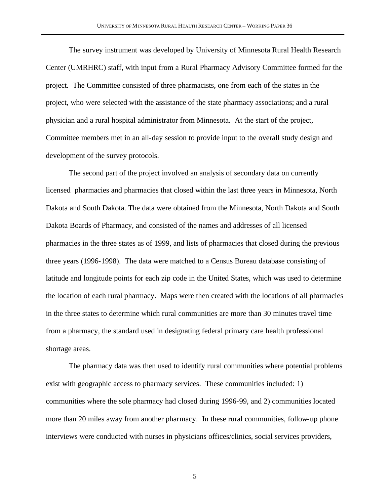The survey instrument was developed by University of Minnesota Rural Health Research Center (UMRHRC) staff, with input from a Rural Pharmacy Advisory Committee formed for the project. The Committee consisted of three pharmacists, one from each of the states in the project, who were selected with the assistance of the state pharmacy associations; and a rural physician and a rural hospital administrator from Minnesota. At the start of the project, Committee members met in an all-day session to provide input to the overall study design and development of the survey protocols.

The second part of the project involved an analysis of secondary data on currently licensed pharmacies and pharmacies that closed within the last three years in Minnesota, North Dakota and South Dakota. The data were obtained from the Minnesota, North Dakota and South Dakota Boards of Pharmacy, and consisted of the names and addresses of all licensed pharmacies in the three states as of 1999, and lists of pharmacies that closed during the previous three years (1996-1998). The data were matched to a Census Bureau database consisting of latitude and longitude points for each zip code in the United States, which was used to determine the location of each rural pharmacy. Maps were then created with the locations of all pharmacies in the three states to determine which rural communities are more than 30 minutes travel time from a pharmacy, the standard used in designating federal primary care health professional shortage areas.

The pharmacy data was then used to identify rural communities where potential problems exist with geographic access to pharmacy services. These communities included: 1) communities where the sole pharmacy had closed during 1996-99, and 2) communities located more than 20 miles away from another pharmacy. In these rural communities, follow-up phone interviews were conducted with nurses in physicians offices/clinics, social services providers,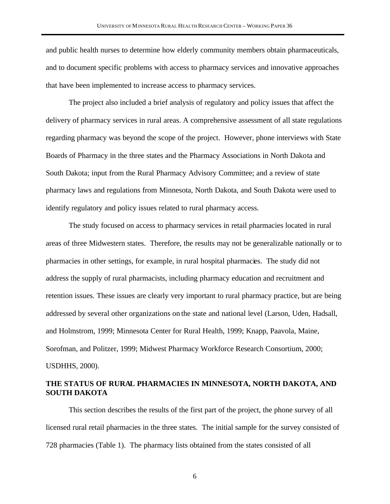and public health nurses to determine how elderly community members obtain pharmaceuticals, and to document specific problems with access to pharmacy services and innovative approaches that have been implemented to increase access to pharmacy services.

The project also included a brief analysis of regulatory and policy issues that affect the delivery of pharmacy services in rural areas. A comprehensive assessment of all state regulations regarding pharmacy was beyond the scope of the project. However, phone interviews with State Boards of Pharmacy in the three states and the Pharmacy Associations in North Dakota and South Dakota; input from the Rural Pharmacy Advisory Committee; and a review of state pharmacy laws and regulations from Minnesota, North Dakota, and South Dakota were used to identify regulatory and policy issues related to rural pharmacy access.

The study focused on access to pharmacy services in retail pharmacies located in rural areas of three Midwestern states. Therefore, the results may not be generalizable nationally or to pharmacies in other settings, for example, in rural hospital pharmacies. The study did not address the supply of rural pharmacists, including pharmacy education and recruitment and retention issues. These issues are clearly very important to rural pharmacy practice, but are being addressed by several other organizations on the state and national level (Larson, Uden, Hadsall, and Holmstrom, 1999; Minnesota Center for Rural Health, 1999; Knapp, Paavola, Maine, Sorofman, and Politzer, 1999; Midwest Pharmacy Workforce Research Consortium, 2000; USDHHS, 2000).

### **THE STATUS OF RURAL PHARMACIES IN MINNESOTA, NORTH DAKOTA, AND SOUTH DAKOTA**

This section describes the results of the first part of the project, the phone survey of all licensed rural retail pharmacies in the three states. The initial sample for the survey consisted of 728 pharmacies (Table 1). The pharmacy lists obtained from the states consisted of all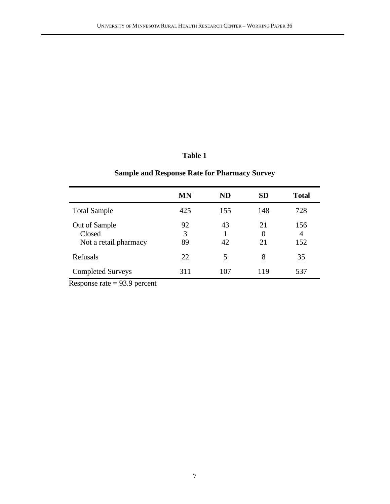# **Sample and Response Rate for Pharmacy Survey**

|                                                  | <b>MN</b>     | ND       | <b>SD</b>            | <b>Total</b>    |
|--------------------------------------------------|---------------|----------|----------------------|-----------------|
| <b>Total Sample</b>                              | 425           | 155      | 148                  | 728             |
| Out of Sample<br>Closed<br>Not a retail pharmacy | 92<br>3<br>89 | 43<br>42 | 21<br>$\theta$<br>21 | 156<br>4<br>152 |
| Refusals                                         | 22            | <u>5</u> | <u>8</u>             | $\frac{35}{5}$  |
| <b>Completed Surveys</b>                         | 311           | 107      | 119                  | 537             |

Response rate = 93.9 percent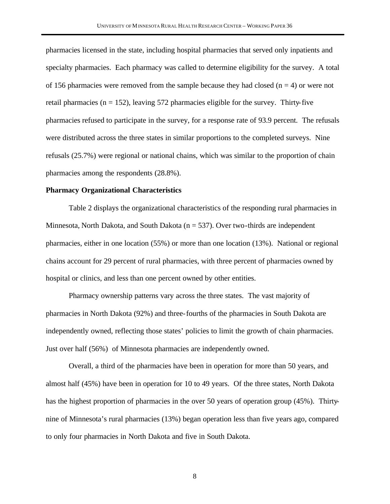pharmacies licensed in the state, including hospital pharmacies that served only inpatients and specialty pharmacies. Each pharmacy was called to determine eligibility for the survey. A total of 156 pharmacies were removed from the sample because they had closed ( $n = 4$ ) or were not retail pharmacies ( $n = 152$ ), leaving 572 pharmacies eligible for the survey. Thirty-five pharmacies refused to participate in the survey, for a response rate of 93.9 percent. The refusals were distributed across the three states in similar proportions to the completed surveys. Nine refusals (25.7%) were regional or national chains, which was similar to the proportion of chain pharmacies among the respondents (28.8%).

#### **Pharmacy Organizational Characteristics**

Table 2 displays the organizational characteristics of the responding rural pharmacies in Minnesota, North Dakota, and South Dakota ( $n = 537$ ). Over two-thirds are independent pharmacies, either in one location (55%) or more than one location (13%). National or regional chains account for 29 percent of rural pharmacies, with three percent of pharmacies owned by hospital or clinics, and less than one percent owned by other entities.

Pharmacy ownership patterns vary across the three states. The vast majority of pharmacies in North Dakota (92%) and three-fourths of the pharmacies in South Dakota are independently owned, reflecting those states' policies to limit the growth of chain pharmacies. Just over half (56%) of Minnesota pharmacies are independently owned.

Overall, a third of the pharmacies have been in operation for more than 50 years, and almost half (45%) have been in operation for 10 to 49 years. Of the three states, North Dakota has the highest proportion of pharmacies in the over 50 years of operation group (45%). Thirtynine of Minnesota's rural pharmacies (13%) began operation less than five years ago, compared to only four pharmacies in North Dakota and five in South Dakota.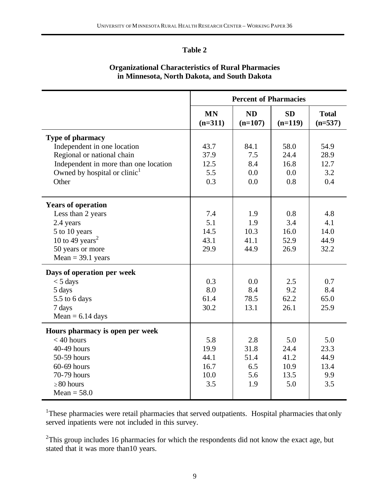| <b>Organizational Characteristics of Rural Pharmacies</b> |
|-----------------------------------------------------------|
| in Minnesota, North Dakota, and South Dakota              |

|                                                                                                                                                                                    | <b>Percent of Pharmacies</b>               |                                          |                                            |                                           |  |  |
|------------------------------------------------------------------------------------------------------------------------------------------------------------------------------------|--------------------------------------------|------------------------------------------|--------------------------------------------|-------------------------------------------|--|--|
|                                                                                                                                                                                    | <b>MN</b><br>$(n=311)$                     | <b>ND</b><br>$(n=107)$                   | <b>SD</b><br>$(n=119)$                     | <b>Total</b><br>$(n=537)$                 |  |  |
| <b>Type of pharmacy</b><br>Independent in one location<br>Regional or national chain<br>Independent in more than one location<br>Owned by hospital or clinic <sup>1</sup><br>Other | 43.7<br>37.9<br>12.5<br>5.5<br>0.3         | 84.1<br>7.5<br>8.4<br>0.0<br>0.0         | 58.0<br>24.4<br>16.8<br>0.0<br>0.8         | 54.9<br>28.9<br>12.7<br>3.2<br>0.4        |  |  |
| <b>Years of operation</b><br>Less than 2 years<br>2.4 years<br>5 to 10 years<br>10 to 49 years <sup>2</sup><br>50 years or more<br>$Mean = 39.1 \text{ years}$                     | 7.4<br>5.1<br>14.5<br>43.1<br>29.9         | 1.9<br>1.9<br>10.3<br>41.1<br>44.9       | 0.8<br>3.4<br>16.0<br>52.9<br>26.9         | 4.8<br>4.1<br>14.0<br>44.9<br>32.2        |  |  |
| Days of operation per week<br>$<$ 5 days<br>5 days<br>5.5 to 6 days<br>7 days<br>Mean = $6.14$ days                                                                                | 0.3<br>8.0<br>61.4<br>30.2                 | 0.0<br>8.4<br>78.5<br>13.1               | 2.5<br>9.2<br>62.2<br>26.1                 | 0.7<br>8.4<br>65.0<br>25.9                |  |  |
| Hours pharmacy is open per week<br>$<$ 40 hours<br>40-49 hours<br>50-59 hours<br>$60-69$ hours<br>70-79 hours<br>$\geq 80$ hours<br>$Mean = 58.0$                                  | 5.8<br>19.9<br>44.1<br>16.7<br>10.0<br>3.5 | 2.8<br>31.8<br>51.4<br>6.5<br>5.6<br>1.9 | 5.0<br>24.4<br>41.2<br>10.9<br>13.5<br>5.0 | 5.0<br>23.3<br>44.9<br>13.4<br>9.9<br>3.5 |  |  |

<sup>1</sup>These pharmacies were retail pharmacies that served outpatients. Hospital pharmacies that only served inpatients were not included in this survey.

 $2$ This group includes 16 pharmacies for which the respondents did not know the exact age, but stated that it was more than10 years.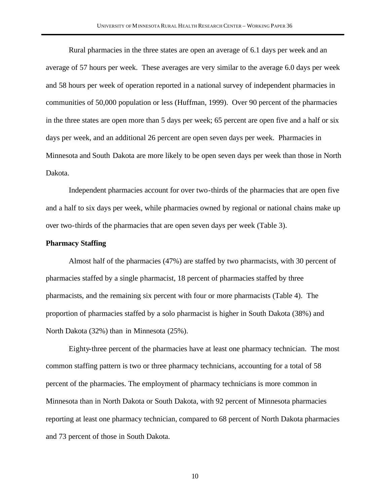Rural pharmacies in the three states are open an average of 6.1 days per week and an average of 57 hours per week. These averages are very similar to the average 6.0 days per week and 58 hours per week of operation reported in a national survey of independent pharmacies in communities of 50,000 population or less (Huffman, 1999). Over 90 percent of the pharmacies in the three states are open more than 5 days per week; 65 percent are open five and a half or six days per week, and an additional 26 percent are open seven days per week. Pharmacies in Minnesota and South Dakota are more likely to be open seven days per week than those in North Dakota.

Independent pharmacies account for over two-thirds of the pharmacies that are open five and a half to six days per week, while pharmacies owned by regional or national chains make up over two-thirds of the pharmacies that are open seven days per week (Table 3).

#### **Pharmacy Staffing**

Almost half of the pharmacies (47%) are staffed by two pharmacists, with 30 percent of pharmacies staffed by a single pharmacist, 18 percent of pharmacies staffed by three pharmacists, and the remaining six percent with four or more pharmacists (Table 4). The proportion of pharmacies staffed by a solo pharmacist is higher in South Dakota (38%) and North Dakota (32%) than in Minnesota (25%).

Eighty-three percent of the pharmacies have at least one pharmacy technician. The most common staffing pattern is two or three pharmacy technicians, accounting for a total of 58 percent of the pharmacies. The employment of pharmacy technicians is more common in Minnesota than in North Dakota or South Dakota, with 92 percent of Minnesota pharmacies reporting at least one pharmacy technician, compared to 68 percent of North Dakota pharmacies and 73 percent of those in South Dakota.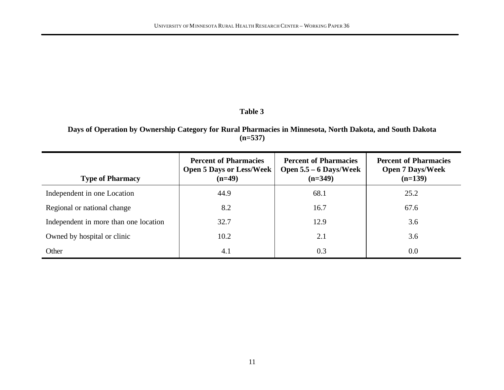**Days of Operation by Ownership Category for Rural Pharmacies in Minnesota, North Dakota, and South Dakota (n=537)**

| <b>Type of Pharmacy</b>               | <b>Percent of Pharmacies</b><br><b>Open 5 Days or Less/Week</b><br>$(n=49)$ | <b>Percent of Pharmacies</b><br>Open $5.5 - 6$ Days/Week<br>$(n=349)$ | <b>Percent of Pharmacies</b><br><b>Open 7 Days/Week</b><br>$(n=139)$ |
|---------------------------------------|-----------------------------------------------------------------------------|-----------------------------------------------------------------------|----------------------------------------------------------------------|
| Independent in one Location           | 44.9                                                                        | 68.1                                                                  | 25.2                                                                 |
| Regional or national change           | 8.2                                                                         | 16.7                                                                  | 67.6                                                                 |
| Independent in more than one location | 32.7                                                                        | 12.9                                                                  | 3.6                                                                  |
| Owned by hospital or clinic           | 10.2                                                                        | 2.1                                                                   | 3.6                                                                  |
| Other                                 | 4.1                                                                         | 0.3                                                                   | 0.0                                                                  |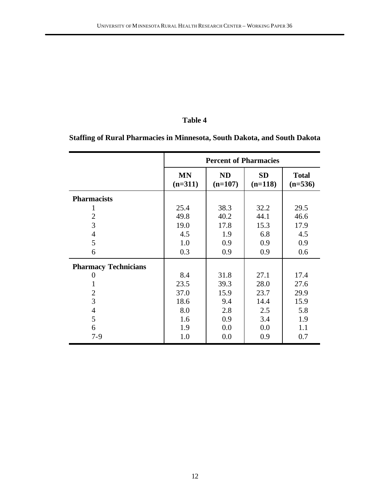**Staffing of Rural Pharmacies in Minnesota, South Dakota, and South Dakota**

|                             |                        | <b>Percent of Pharmacies</b> |                        |                           |
|-----------------------------|------------------------|------------------------------|------------------------|---------------------------|
|                             | <b>MN</b><br>$(n=311)$ | <b>ND</b><br>$(n=107)$       | <b>SD</b><br>$(n=118)$ | <b>Total</b><br>$(n=536)$ |
| <b>Pharmacists</b>          |                        |                              |                        |                           |
| 1                           | 25.4                   | 38.3                         | 32.2                   | 29.5                      |
| $\overline{2}$              | 49.8                   | 40.2                         | 44.1                   | 46.6                      |
| 3                           | 19.0                   | 17.8                         | 15.3                   | 17.9                      |
| $\overline{4}$              | 4.5                    | 1.9                          | 6.8                    | 4.5                       |
| 5                           | 1.0                    | 0.9                          | 0.9                    | 0.9                       |
| 6                           | 0.3                    | 0.9                          | 0.9                    | 0.6                       |
| <b>Pharmacy Technicians</b> |                        |                              |                        |                           |
| 0                           | 8.4                    | 31.8                         | 27.1                   | 17.4                      |
| 1                           | 23.5                   | 39.3                         | 28.0                   | 27.6                      |
| $\overline{2}$              | 37.0                   | 15.9                         | 23.7                   | 29.9                      |
| 3                           | 18.6                   | 9.4                          | 14.4                   | 15.9                      |
| $\overline{4}$              | 8.0                    | 2.8                          | 2.5                    | 5.8                       |
| 5                           | 1.6                    | 0.9                          | 3.4                    | 1.9                       |
| 6                           | 1.9                    | 0.0                          | 0.0                    | 1.1                       |
| $7-9$                       | 1.0                    | 0.0                          | 0.9                    | 0.7                       |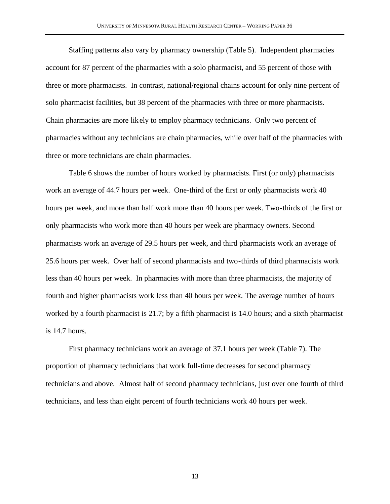Staffing patterns also vary by pharmacy ownership (Table 5). Independent pharmacies account for 87 percent of the pharmacies with a solo pharmacist, and 55 percent of those with three or more pharmacists. In contrast, national/regional chains account for only nine percent of solo pharmacist facilities, but 38 percent of the pharmacies with three or more pharmacists. Chain pharmacies are more likely to employ pharmacy technicians. Only two percent of pharmacies without any technicians are chain pharmacies, while over half of the pharmacies with three or more technicians are chain pharmacies.

Table 6 shows the number of hours worked by pharmacists. First (or only) pharmacists work an average of 44.7 hours per week. One-third of the first or only pharmacists work 40 hours per week, and more than half work more than 40 hours per week. Two-thirds of the first or only pharmacists who work more than 40 hours per week are pharmacy owners. Second pharmacists work an average of 29.5 hours per week, and third pharmacists work an average of 25.6 hours per week. Over half of second pharmacists and two-thirds of third pharmacists work less than 40 hours per week. In pharmacies with more than three pharmacists, the majority of fourth and higher pharmacists work less than 40 hours per week. The average number of hours worked by a fourth pharmacist is 21.7; by a fifth pharmacist is 14.0 hours; and a sixth pharmacist is 14.7 hours.

First pharmacy technicians work an average of 37.1 hours per week (Table 7). The proportion of pharmacy technicians that work full-time decreases for second pharmacy technicians and above. Almost half of second pharmacy technicians, just over one fourth of third technicians, and less than eight percent of fourth technicians work 40 hours per week.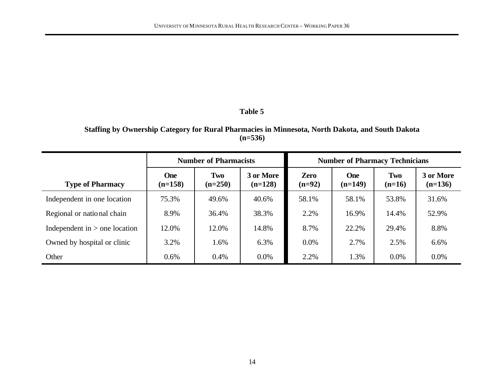### **Staffing by Ownership Category for Rural Pharmacies in Minnesota, North Dakota, and South Dakota (n=536)**

|                                 | <b>Number of Pharmacists</b> |                  |                        | <b>Number of Pharmacy Technicians</b> |                  |                 |                        |  |
|---------------------------------|------------------------------|------------------|------------------------|---------------------------------------|------------------|-----------------|------------------------|--|
| <b>Type of Pharmacy</b>         | <b>One</b><br>$(n=158)$      | Two<br>$(n=250)$ | 3 or More<br>$(n=128)$ | <b>Zero</b><br>$(n=92)$               | One<br>$(n=149)$ | Two<br>$(n=16)$ | 3 or More<br>$(n=136)$ |  |
| Independent in one location     | 75.3%                        | 49.6%            | 40.6%                  | 58.1%                                 | 58.1%            | 53.8%           | 31.6%                  |  |
| Regional or national chain      | 8.9%                         | 36.4%            | 38.3%                  | 2.2%                                  | 16.9%            | 14.4%           | 52.9%                  |  |
| Independent in $>$ one location | 12.0%                        | 12.0%            | 14.8%                  | 8.7%                                  | 22.2%            | 29.4%           | 8.8%                   |  |
| Owned by hospital or clinic     | 3.2%                         | 1.6%             | 6.3%                   | $0.0\%$                               | 2.7%             | 2.5%            | 6.6%                   |  |
| Other                           | 0.6%                         | 0.4%             | $0.0\%$                | 2.2%                                  | 1.3%             | $0.0\%$         | $0.0\%$                |  |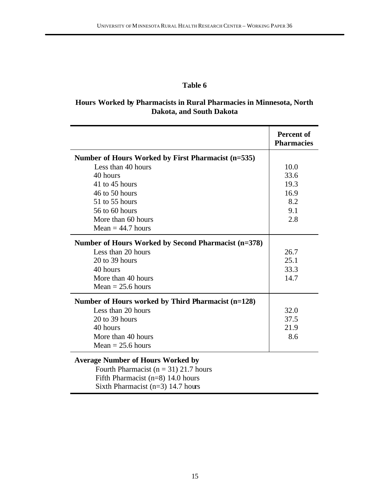# **Hours Worked by Pharmacists in Rural Pharmacies in Minnesota, North Dakota, and South Dakota**

|                                                      | <b>Percent of</b><br><b>Pharmacies</b> |
|------------------------------------------------------|----------------------------------------|
| Number of Hours Worked by First Pharmacist (n=535)   |                                        |
| Less than 40 hours                                   | 10.0                                   |
| 40 hours                                             | 33.6                                   |
| 41 to 45 hours                                       | 19.3                                   |
| 46 to 50 hours                                       | 16.9                                   |
| 51 to 55 hours                                       | 8.2                                    |
| 56 to 60 hours                                       | 9.1                                    |
| More than 60 hours                                   | 2.8                                    |
| Mean $= 44.7$ hours                                  |                                        |
| Number of Hours Worked by Second Pharmacist (n=378)  |                                        |
| Less than 20 hours                                   | 26.7                                   |
| $20$ to 39 hours                                     | 25.1                                   |
| 40 hours                                             | 33.3                                   |
| More than 40 hours                                   | 14.7                                   |
| $Mean = 25.6 hours$                                  |                                        |
| Number of Hours worked by Third Pharmacist $(n=128)$ |                                        |
| Less than 20 hours                                   | 32.0                                   |
| $20$ to 39 hours                                     | 37.5                                   |
| 40 hours                                             | 21.9                                   |
| More than 40 hours                                   | 8.6                                    |
| Mean $= 25.6$ hours                                  |                                        |

Fourth Pharmacist ( $n = 31$ ) 21.7 hours Fifth Pharmacist (n=8) 14.0 hours Sixth Pharmacist (n=3) 14.7 hours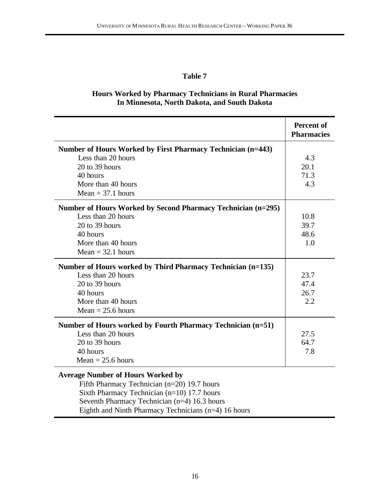### **Hours Worked by Pharmacy Technicians in Rural Pharmacies In Minnesota, North Dakota, and South Dakota**

|                                                              | <b>Percent of</b><br><b>Pharmacies</b> |
|--------------------------------------------------------------|----------------------------------------|
| Number of Hours Worked by First Pharmacy Technician (n=443)  |                                        |
| Less than 20 hours                                           | 4.3                                    |
| 20 to 39 hours                                               | 20.1                                   |
| 40 hours                                                     | 71.3                                   |
| More than 40 hours                                           | 4.3                                    |
| $Mean = 37.1 hours$                                          |                                        |
| Number of Hours Worked by Second Pharmacy Technician (n=295) |                                        |
| Less than 20 hours                                           | 10.8                                   |
| $20$ to 39 hours                                             | 39.7                                   |
| 40 hours                                                     | 48.6                                   |
| More than 40 hours                                           | 1.0                                    |
| $Mean = 32.1 hours$                                          |                                        |
| Number of Hours worked by Third Pharmacy Technician (n=135)  |                                        |
| Less than 20 hours                                           | 23.7                                   |
| 20 to 39 hours                                               | 47.4                                   |
| 40 hours                                                     | 26.7                                   |
| More than 40 hours                                           | 2.2                                    |
| $Mean = 25.6 hours$                                          |                                        |
| Number of Hours worked by Fourth Pharmacy Technician (n=51)  |                                        |
| Less than 20 hours                                           | 27.5                                   |
| $20$ to 39 hours                                             | 64.7                                   |
| 40 hours                                                     | 7.8                                    |
| $Mean = 25.6 hours$                                          |                                        |
| <b>Average Number of Hours Worked by</b>                     |                                        |

Fifth Pharmacy Technician (n=20) 19.7 hours Sixth Pharmacy Technician (n=10) 17.7 hours Seventh Pharmacy Technician (n=4) 16.3 hours Eighth and Ninth Pharmacy Technicians (n=4) 16 hours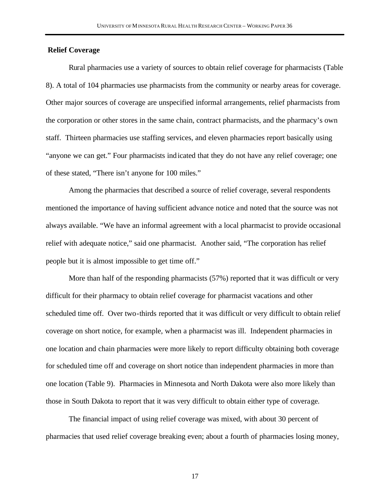#### **Relief Coverage**

Rural pharmacies use a variety of sources to obtain relief coverage for pharmacists (Table 8). A total of 104 pharmacies use pharmacists from the community or nearby areas for coverage. Other major sources of coverage are unspecified informal arrangements, relief pharmacists from the corporation or other stores in the same chain, contract pharmacists, and the pharmacy's own staff. Thirteen pharmacies use staffing services, and eleven pharmacies report basically using "anyone we can get." Four pharmacists indicated that they do not have any relief coverage; one of these stated, "There isn't anyone for 100 miles."

Among the pharmacies that described a source of relief coverage, several respondents mentioned the importance of having sufficient advance notice and noted that the source was not always available. "We have an informal agreement with a local pharmacist to provide occasional relief with adequate notice," said one pharmacist. Another said, "The corporation has relief people but it is almost impossible to get time off."

More than half of the responding pharmacists (57%) reported that it was difficult or very difficult for their pharmacy to obtain relief coverage for pharmacist vacations and other scheduled time off. Over two-thirds reported that it was difficult or very difficult to obtain relief coverage on short notice, for example, when a pharmacist was ill. Independent pharmacies in one location and chain pharmacies were more likely to report difficulty obtaining both coverage for scheduled time off and coverage on short notice than independent pharmacies in more than one location (Table 9). Pharmacies in Minnesota and North Dakota were also more likely than those in South Dakota to report that it was very difficult to obtain either type of coverage.

The financial impact of using relief coverage was mixed, with about 30 percent of pharmacies that used relief coverage breaking even; about a fourth of pharmacies losing money,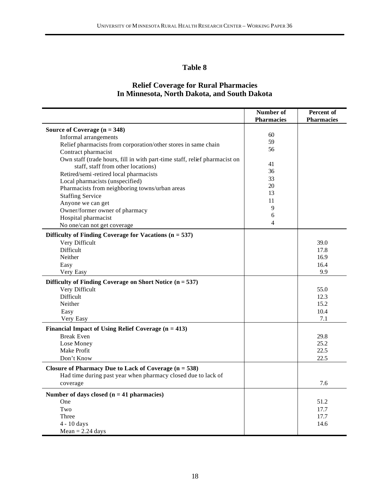### **Relief Coverage for Rural Pharmacies In Minnesota, North Dakota, and South Dakota**

|                                                                            | Number of         | Percent of        |
|----------------------------------------------------------------------------|-------------------|-------------------|
|                                                                            | <b>Pharmacies</b> | <b>Pharmacies</b> |
| Source of Coverage $(n = 348)$                                             | 60                |                   |
| Informal arrangements                                                      | 59                |                   |
| Relief pharmacists from corporation/other stores in same chain             | 56                |                   |
| Contract pharmacist                                                        |                   |                   |
| Own staff (trade hours, fill in with part-time staff, relief pharmacist on | 41                |                   |
| staff, staff from other locations)                                         | 36                |                   |
| Retired/semi-retired local pharmacists                                     | 33                |                   |
| Local pharmacists (unspecified)                                            | 20                |                   |
| Pharmacists from neighboring towns/urban areas                             | 13                |                   |
| <b>Staffing Service</b>                                                    |                   |                   |
| Anyone we can get                                                          | 11                |                   |
| Owner/former owner of pharmacy                                             | 9                 |                   |
| Hospital pharmacist                                                        | 6                 |                   |
| No one/can not get coverage                                                | 4                 |                   |
| Difficulty of Finding Coverage for Vacations $(n = 537)$                   |                   |                   |
| Very Difficult                                                             |                   | 39.0              |
| <b>Difficult</b>                                                           |                   | 17.8              |
| Neither                                                                    |                   | 16.9              |
| Easy                                                                       |                   | 16.4              |
| Very Easy                                                                  |                   | 9.9               |
| Difficulty of Finding Coverage on Short Notice $(n = 537)$                 |                   |                   |
| Very Difficult                                                             |                   | 55.0              |
| <b>Difficult</b>                                                           |                   | 12.3              |
| Neither                                                                    |                   | 15.2              |
| Easy                                                                       |                   | 10.4              |
| Very Easy                                                                  |                   | 7.1               |
| Financial Impact of Using Relief Coverage $(n = 413)$                      |                   |                   |
| <b>Break Even</b>                                                          |                   | 29.8              |
| Lose Money                                                                 |                   | 25.2              |
| Make Profit                                                                |                   | 22.5              |
| Don't Know                                                                 |                   | 22.5              |
|                                                                            |                   |                   |
| Closure of Pharmacy Due to Lack of Coverage $(n = 538)$                    |                   |                   |
| Had time during past year when pharmacy closed due to lack of              |                   |                   |
| coverage                                                                   |                   | 7.6               |
| Number of days closed $(n = 41$ pharmacies)                                |                   |                   |
| One                                                                        |                   | 51.2              |
| Two                                                                        |                   | 17.7              |
| Three                                                                      |                   | 17.7              |
| 4 - 10 days                                                                |                   | 14.6              |
| $Mean = 2.24 \text{ days}$                                                 |                   |                   |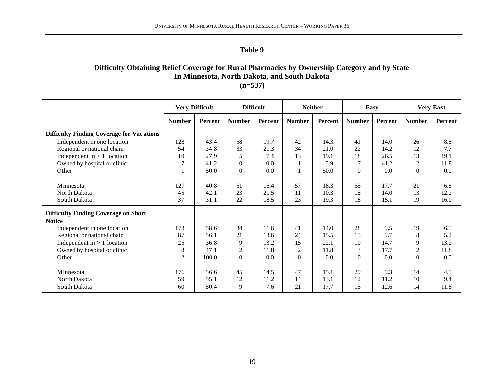# **Difficulty Obtaining Relief Coverage for Rural Pharmacies by Ownership Category and by State In Minnesota, North Dakota, and South Dakota**

**(n=537)** ┱ ┱

|                                                  |                | <b>Very Difficult</b> | <b>Difficult</b> |         | <b>Neither</b> |         | Easy           |         |                | <b>Very East</b> |
|--------------------------------------------------|----------------|-----------------------|------------------|---------|----------------|---------|----------------|---------|----------------|------------------|
|                                                  | <b>Number</b>  | Percent               | <b>Number</b>    | Percent | <b>Number</b>  | Percent | <b>Number</b>  | Percent | <b>Number</b>  | Percent          |
| <b>Difficulty Finding Coverage for Vacations</b> |                |                       |                  |         |                |         |                |         |                |                  |
| Independent in one location                      | 128            | 43.4                  | 58               | 19.7    | 42             | 14.3    | 41             | 14.0    | 26             | 8.8              |
| Regional or national chain                       | 54             | 34.8                  | 33               | 21.3    | 34             | 21.0    | 22             | 14.2    | 12             | 7.7              |
| Independent in $> 1$ location                    | 19             | 27.9                  | 5                | 7.4     | 13             | 19.1    | 18             | 26.5    | 13             | 19.1             |
| Owned by hospital or clinic                      | 7              | 41.2                  | $\theta$         | 0.0     |                | 5.9     | $\overline{7}$ | 41.2    | $\overline{c}$ | 11.8             |
| Other                                            |                | 50.0                  | $\theta$         | 0.0     |                | 50.0    | $\overline{0}$ | 0.0     | $\overline{0}$ | 0.0              |
|                                                  |                |                       |                  |         |                |         |                |         |                |                  |
| Minnesota                                        | 127            | 40.8                  | 51               | 16.4    | 57             | 18.3    | 55             | 17.7    | 21             | 6.8              |
| North Dakota                                     | 45             | 42.1                  | 23               | 21.5    | 11             | 10.3    | 15             | 14.0    | 13             | 12.2             |
| South Dakota                                     | 37             | 31.1                  | 22               | 18.5    | 23             | 19.3    | 18             | 15.1    | 19             | 16.0             |
| <b>Difficulty Finding Coverage on Short</b>      |                |                       |                  |         |                |         |                |         |                |                  |
| <b>Notice</b>                                    |                |                       |                  |         |                |         |                |         |                |                  |
| Independent in one location                      | 173            | 58.6                  | 34               | 11.6    | 41             | 14.0    | 28             | 9.5     | 19             | 6.5              |
| Regional or national chain                       | 87             | 56.1                  | 21               | 13.6    | 24             | 15.5    | 15             | 9.7     | 8              | 5.2              |
| Independent in $> 1$ location                    | 25             | 36.8                  | 9                | 13.2    | 15             | 22.1    | 10             | 14.7    | 9              | 13.2             |
| Owned by hospital or clinic                      | 8              | 47.1                  | $\overline{c}$   | 11.8    | 2              | 11.8    | 3              | 17.7    | $\overline{c}$ | 11.8             |
| Other                                            | $\overline{c}$ | 100.0                 | $\overline{0}$   | 0.0     | $\Omega$       | 0.0     | $\Omega$       | 0.0     | $\Omega$       | 0.0              |
|                                                  |                |                       |                  |         |                |         |                |         |                |                  |
| Minnesota                                        | 176            | 56.6                  | 45               | 14.5    | 47             | 15.1    | 29             | 9.3     | 14             | 4.5              |
| North Dakota                                     | 59             | 55.1                  | 12               | 11.2    | 14             | 13.1    | 12             | 11.2    | 10             | 9.4              |
| South Dakota                                     | 60             | 50.4                  | 9                | 7.6     | 21             | 17.7    | 15             | 12.6    | 14             | 11.8             |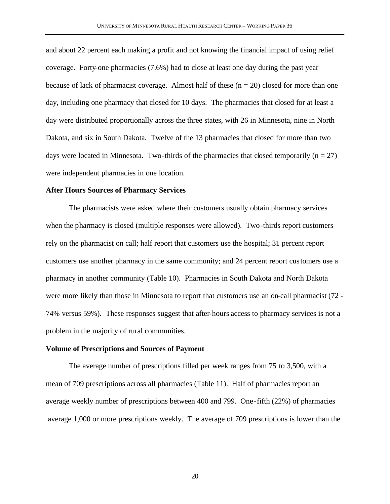and about 22 percent each making a profit and not knowing the financial impact of using relief coverage. Forty-one pharmacies (7.6%) had to close at least one day during the past year because of lack of pharmacist coverage. Almost half of these  $(n = 20)$  closed for more than one day, including one pharmacy that closed for 10 days. The pharmacies that closed for at least a day were distributed proportionally across the three states, with 26 in Minnesota, nine in North Dakota, and six in South Dakota. Twelve of the 13 pharmacies that closed for more than two days were located in Minnesota. Two-thirds of the pharmacies that closed temporarily ( $n = 27$ ) were independent pharmacies in one location.

#### **After Hours Sources of Pharmacy Services**

The pharmacists were asked where their customers usually obtain pharmacy services when the pharmacy is closed (multiple responses were allowed). Two-thirds report customers rely on the pharmacist on call; half report that customers use the hospital; 31 percent report customers use another pharmacy in the same community; and 24 percent report customers use a pharmacy in another community (Table 10). Pharmacies in South Dakota and North Dakota were more likely than those in Minnesota to report that customers use an on-call pharmacist (72 - 74% versus 59%). These responses suggest that after-hours access to pharmacy services is not a problem in the majority of rural communities.

#### **Volume of Prescriptions and Sources of Payment**

The average number of prescriptions filled per week ranges from 75 to 3,500, with a mean of 709 prescriptions across all pharmacies (Table 11). Half of pharmacies report an average weekly number of prescriptions between 400 and 799. One-fifth (22%) of pharmacies average 1,000 or more prescriptions weekly. The average of 709 prescriptions is lower than the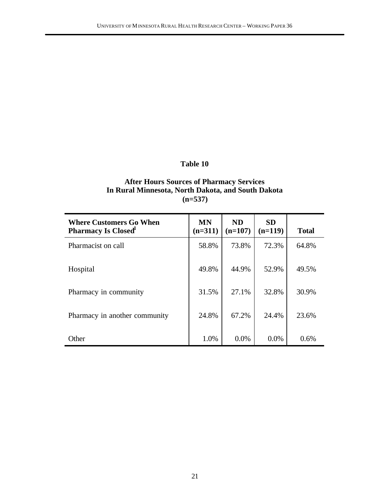### **After Hours Sources of Pharmacy Services In Rural Minnesota, North Dakota, and South Dakota (n=537)**

| <b>Where Customers Go When</b><br><b>Pharmacy Is Closed</b> | <b>MN</b><br>$(n=311)$ | <b>ND</b><br>$(n=107)$ | <b>SD</b><br>$(n=119)$ | <b>Total</b> |
|-------------------------------------------------------------|------------------------|------------------------|------------------------|--------------|
| Pharmacist on call                                          | 58.8%                  | 73.8%                  | 72.3%                  | 64.8%        |
| Hospital                                                    | 49.8%                  | 44.9%                  | 52.9%                  | 49.5%        |
| Pharmacy in community                                       | 31.5%                  | 27.1%                  | 32.8%                  | 30.9%        |
| Pharmacy in another community                               | 24.8%                  | 67.2%                  | 24.4%                  | 23.6%        |
| Other                                                       | 1.0%                   | $0.0\%$                | $0.0\%$                | 0.6%         |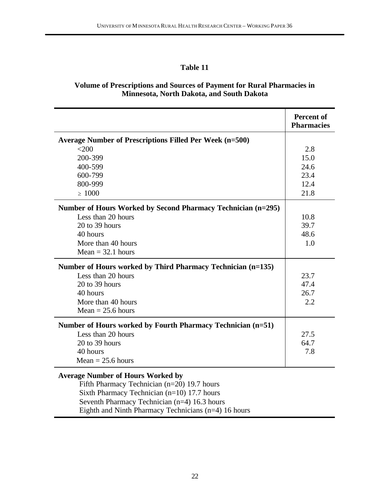### **Volume of Prescriptions and Sources of Payment for Rural Pharmacies in Minnesota, North Dakota, and South Dakota**

|                                                              | <b>Percent of</b><br><b>Pharmacies</b> |
|--------------------------------------------------------------|----------------------------------------|
| Average Number of Prescriptions Filled Per Week (n=500)      |                                        |
| <200                                                         | 2.8                                    |
| 200-399                                                      | 15.0                                   |
| 400-599                                                      | 24.6                                   |
| 600-799                                                      | 23.4                                   |
| 800-999                                                      | 12.4                                   |
| $\geq 1000$                                                  | 21.8                                   |
| Number of Hours Worked by Second Pharmacy Technician (n=295) |                                        |
| Less than 20 hours                                           | 10.8                                   |
| 20 to 39 hours                                               | 39.7                                   |
| 40 hours                                                     | 48.6                                   |
| More than 40 hours                                           | 1.0                                    |
| $Mean = 32.1 hours$                                          |                                        |
| Number of Hours worked by Third Pharmacy Technician (n=135)  |                                        |
| Less than 20 hours                                           | 23.7                                   |
| $20$ to 39 hours                                             | 47.4                                   |
| 40 hours                                                     | 26.7                                   |
| More than 40 hours                                           | 2.2                                    |
| Mean = $25.6$ hours                                          |                                        |
| Number of Hours worked by Fourth Pharmacy Technician (n=51)  |                                        |
| Less than 20 hours                                           | 27.5                                   |
| 20 to 39 hours                                               | 64.7                                   |
| 40 hours                                                     | 7.8                                    |
| $Mean = 25.6 hours$                                          |                                        |
| <b>Average Number of Hours Worked by</b>                     |                                        |

Fifth Pharmacy Technician (n=20) 19.7 hours Sixth Pharmacy Technician (n=10) 17.7 hours Seventh Pharmacy Technician (n=4) 16.3 hours Eighth and Ninth Pharmacy Technicians (n=4) 16 hours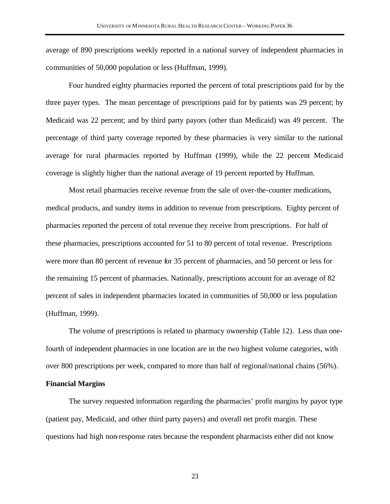average of 890 prescriptions weekly reported in a national survey of independent pharmacies in communities of 50,000 population or less (Huffman, 1999).

Four hundred eighty pharmacies reported the percent of total prescriptions paid for by the three payer types. The mean percentage of prescriptions paid for by patients was 29 percent; by Medicaid was 22 percent; and by third party payors (other than Medicaid) was 49 percent. The percentage of third party coverage reported by these pharmacies is very similar to the national average for rural pharmacies reported by Huffman (1999), while the 22 percent Medicaid coverage is slightly higher than the national average of 19 percent reported by Huffman.

Most retail pharmacies receive revenue from the sale of over-the-counter medications, medical products, and sundry items in addition to revenue from prescriptions. Eighty percent of pharmacies reported the percent of total revenue they receive from prescriptions. For half of these pharmacies, prescriptions accounted for 51 to 80 percent of total revenue. Prescriptions were more than 80 percent of revenue for 35 percent of pharmacies, and 50 percent or less for the remaining 15 percent of pharmacies. Nationally, prescriptions account for an average of 82 percent of sales in independent pharmacies located in communities of 50,000 or less population (Huffman, 1999).

The volume of prescriptions is related to pharmacy ownership (Table 12). Less than onefourth of independent pharmacies in one location are in the two highest volume categories, with over 800 prescriptions per week, compared to more than half of regional/national chains (56%).

#### **Financial Margins**

The survey requested information regarding the pharmacies' profit margins by payor type (patient pay, Medicaid, and other third party payers) and overall net profit margin. These questions had high non-response rates because the respondent pharmacists either did not know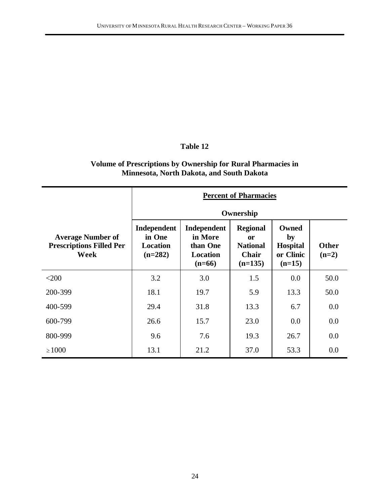# **Volume of Prescriptions by Ownership for Rural Pharmacies in Minnesota, North Dakota, and South Dakota**

|                                                                     | <b>Percent of Pharmacies</b>                          |                                                                   |                                                                       |                                                         |                         |
|---------------------------------------------------------------------|-------------------------------------------------------|-------------------------------------------------------------------|-----------------------------------------------------------------------|---------------------------------------------------------|-------------------------|
|                                                                     | Ownership                                             |                                                                   |                                                                       |                                                         |                         |
| <b>Average Number of</b><br><b>Prescriptions Filled Per</b><br>Week | Independent<br>in One<br><b>Location</b><br>$(n=282)$ | Independent<br>in More<br>than One<br><b>Location</b><br>$(n=66)$ | <b>Regional</b><br>or<br><b>National</b><br><b>Chair</b><br>$(n=135)$ | Owned<br>by<br><b>Hospital</b><br>or Clinic<br>$(n=15)$ | <b>Other</b><br>$(n=2)$ |
| $<$ 200                                                             | 3.2                                                   | 3.0                                                               | 1.5                                                                   | 0.0                                                     | 50.0                    |
| 200-399                                                             | 18.1                                                  | 19.7                                                              | 5.9                                                                   | 13.3                                                    | 50.0                    |
| 400-599                                                             | 29.4                                                  | 31.8                                                              | 13.3                                                                  | 6.7                                                     | 0.0                     |
| 600-799                                                             | 26.6                                                  | 15.7                                                              | 23.0                                                                  | 0.0                                                     | 0.0                     |
| 800-999                                                             | 9.6                                                   | 7.6                                                               | 19.3                                                                  | 26.7                                                    | 0.0                     |
| $\geq 1000$                                                         | 13.1                                                  | 21.2                                                              | 37.0                                                                  | 53.3                                                    | 0.0                     |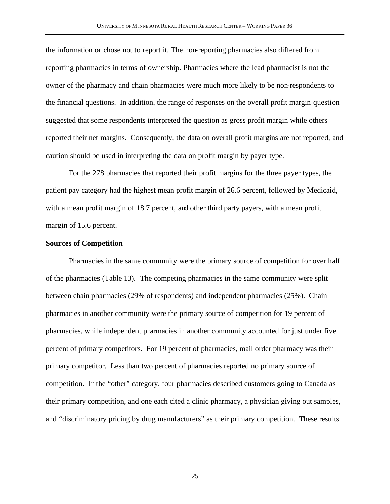the information or chose not to report it. The non-reporting pharmacies also differed from reporting pharmacies in terms of ownership. Pharmacies where the lead pharmacist is not the owner of the pharmacy and chain pharmacies were much more likely to be non-respondents to the financial questions. In addition, the range of responses on the overall profit margin question suggested that some respondents interpreted the question as gross profit margin while others reported their net margins. Consequently, the data on overall profit margins are not reported, and caution should be used in interpreting the data on profit margin by payer type.

For the 278 pharmacies that reported their profit margins for the three payer types, the patient pay category had the highest mean profit margin of 26.6 percent, followed by Medicaid, with a mean profit margin of 18.7 percent, and other third party payers, with a mean profit margin of 15.6 percent.

#### **Sources of Competition**

Pharmacies in the same community were the primary source of competition for over half of the pharmacies (Table 13). The competing pharmacies in the same community were split between chain pharmacies (29% of respondents) and independent pharmacies (25%). Chain pharmacies in another community were the primary source of competition for 19 percent of pharmacies, while independent pharmacies in another community accounted for just under five percent of primary competitors. For 19 percent of pharmacies, mail order pharmacy was their primary competitor. Less than two percent of pharmacies reported no primary source of competition. In the "other" category, four pharmacies described customers going to Canada as their primary competition, and one each cited a clinic pharmacy, a physician giving out samples, and "discriminatory pricing by drug manufacturers" as their primary competition. These results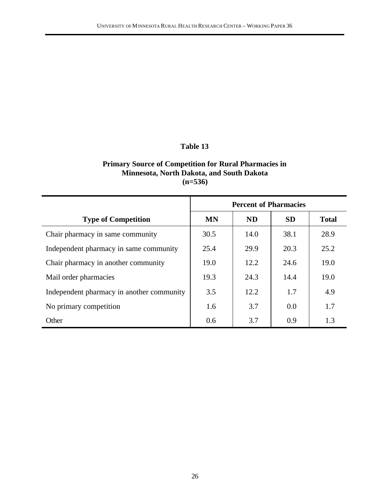### **Primary Source of Competition for Rural Pharmacies in Minnesota, North Dakota, and South Dakota (n=536)**

|                                           | <b>Percent of Pharmacies</b> |           |           |              |
|-------------------------------------------|------------------------------|-----------|-----------|--------------|
| <b>Type of Competition</b>                | MN                           | <b>ND</b> | <b>SD</b> | <b>Total</b> |
| Chair pharmacy in same community          | 30.5                         | 14.0      | 38.1      | 28.9         |
| Independent pharmacy in same community    | 25.4                         | 29.9      | 20.3      | 25.2         |
| Chair pharmacy in another community       | 19.0                         | 12.2      | 24.6      | 19.0         |
| Mail order pharmacies                     | 19.3                         | 24.3      | 14.4      | 19.0         |
| Independent pharmacy in another community | 3.5                          | 12.2      | 1.7       | 4.9          |
| No primary competition                    | 1.6                          | 3.7       | 0.0       | 1.7          |
| Other                                     | 0.6                          | 3.7       | 0.9       | 1.3          |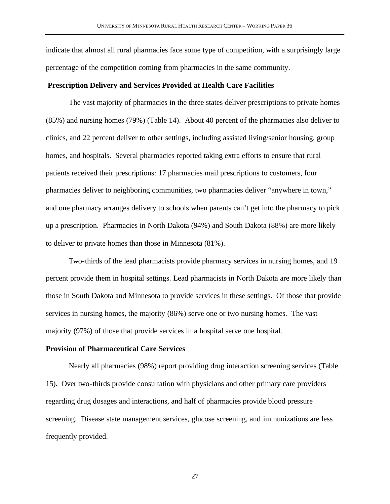indicate that almost all rural pharmacies face some type of competition, with a surprisingly large percentage of the competition coming from pharmacies in the same community.

### **Prescription Delivery and Services Provided at Health Care Facilities**

The vast majority of pharmacies in the three states deliver prescriptions to private homes (85%) and nursing homes (79%) (Table 14). About 40 percent of the pharmacies also deliver to clinics, and 22 percent deliver to other settings, including assisted living/senior housing, group homes, and hospitals. Several pharmacies reported taking extra efforts to ensure that rural patients received their prescriptions: 17 pharmacies mail prescriptions to customers, four pharmacies deliver to neighboring communities, two pharmacies deliver "anywhere in town," and one pharmacy arranges delivery to schools when parents can't get into the pharmacy to pick up a prescription. Pharmacies in North Dakota (94%) and South Dakota (88%) are more likely to deliver to private homes than those in Minnesota (81%).

Two-thirds of the lead pharmacists provide pharmacy services in nursing homes, and 19 percent provide them in hospital settings. Lead pharmacists in North Dakota are more likely than those in South Dakota and Minnesota to provide services in these settings. Of those that provide services in nursing homes, the majority (86%) serve one or two nursing homes. The vast majority (97%) of those that provide services in a hospital serve one hospital.

#### **Provision of Pharmaceutical Care Services**

Nearly all pharmacies (98%) report providing drug interaction screening services (Table 15). Over two-thirds provide consultation with physicians and other primary care providers regarding drug dosages and interactions, and half of pharmacies provide blood pressure screening. Disease state management services, glucose screening, and immunizations are less frequently provided.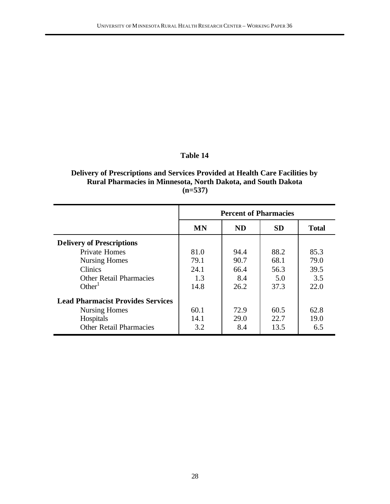### **Delivery of Prescriptions and Services Provided at Health Care Facilities by Rural Pharmacies in Minnesota, North Dakota, and South Dakota (n=537)**

|                                          | <b>Percent of Pharmacies</b> |           |           |              |
|------------------------------------------|------------------------------|-----------|-----------|--------------|
|                                          | <b>MN</b>                    | <b>ND</b> | <b>SD</b> | <b>Total</b> |
| <b>Delivery of Prescriptions</b>         |                              |           |           |              |
| <b>Private Homes</b>                     | 81.0                         | 94.4      | 88.2      | 85.3         |
| <b>Nursing Homes</b>                     | 79.1                         | 90.7      | 68.1      | 79.0         |
| <b>Clinics</b>                           | 24.1                         | 66.4      | 56.3      | 39.5         |
| <b>Other Retail Pharmacies</b>           | 1.3                          | 8.4       | 5.0       | 3.5          |
| Other <sup>1</sup>                       | 14.8                         | 26.2      | 37.3      | 22.0         |
| <b>Lead Pharmacist Provides Services</b> |                              |           |           |              |
| <b>Nursing Homes</b>                     | 60.1                         | 72.9      | 60.5      | 62.8         |
| Hospitals                                | 14.1                         | 29.0      | 22.7      | 19.0         |
| <b>Other Retail Pharmacies</b>           | 3.2                          | 8.4       | 13.5      | 6.5          |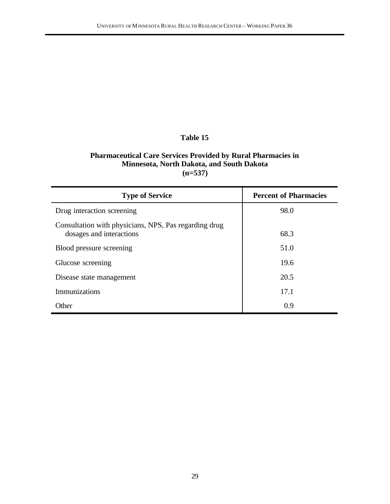### **Pharmaceutical Care Services Provided by Rural Pharmacies in Minnesota, North Dakota, and South Dakota (n=537)**

| <b>Type of Service</b>                                                            | <b>Percent of Pharmacies</b> |
|-----------------------------------------------------------------------------------|------------------------------|
| Drug interaction screening                                                        | 98.0                         |
| Consultation with physicians, NPS, Pas regarding drug<br>dosages and interactions | 68.3                         |
| Blood pressure screening                                                          | 51.0                         |
| Glucose screening                                                                 | 19.6                         |
| Disease state management                                                          | 20.5                         |
| <b>Immunizations</b>                                                              | 17.1                         |
| Other                                                                             | 0.9                          |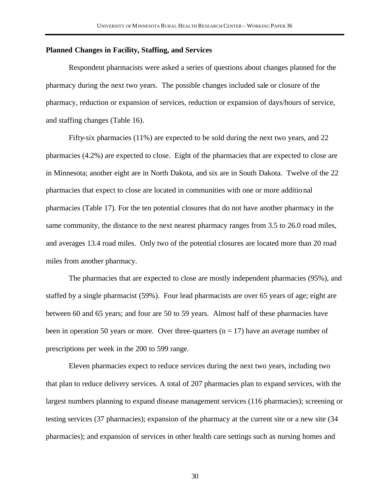### **Planned Changes in Facility, Staffing, and Services**

Respondent pharmacists were asked a series of questions about changes planned for the pharmacy during the next two years. The possible changes included sale or closure of the pharmacy, reduction or expansion of services, reduction or expansion of days/hours of service, and staffing changes (Table 16).

Fifty-six pharmacies (11%) are expected to be sold during the next two years, and 22 pharmacies (4.2%) are expected to close. Eight of the pharmacies that are expected to close are in Minnesota; another eight are in North Dakota, and six are in South Dakota. Twelve of the 22 pharmacies that expect to close are located in communities with one or more additional pharmacies (Table 17). For the ten potential closures that do not have another pharmacy in the same community, the distance to the next nearest pharmacy ranges from 3.5 to 26.0 road miles, and averages 13.4 road miles. Only two of the potential closures are located more than 20 road miles from another pharmacy.

The pharmacies that are expected to close are mostly independent pharmacies (95%), and staffed by a single pharmacist (59%). Four lead pharmacists are over 65 years of age; eight are between 60 and 65 years; and four are 50 to 59 years. Almost half of these pharmacies have been in operation 50 years or more. Over three-quarters  $(n = 17)$  have an average number of prescriptions per week in the 200 to 599 range.

Eleven pharmacies expect to reduce services during the next two years, including two that plan to reduce delivery services. A total of 207 pharmacies plan to expand services, with the largest numbers planning to expand disease management services (116 pharmacies); screening or testing services (37 pharmacies); expansion of the pharmacy at the current site or a new site (34 pharmacies); and expansion of services in other health care settings such as nursing homes and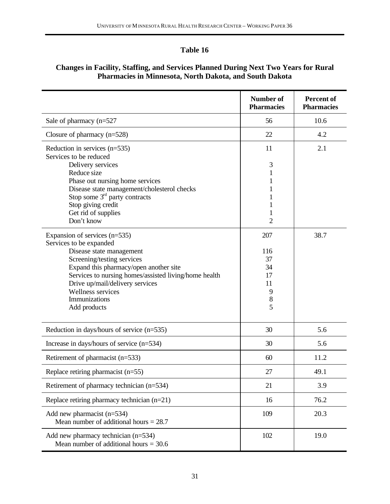## **Changes in Facility, Staffing, and Services Planned During Next Two Years for Rural Pharmacies in Minnesota, North Dakota, and South Dakota**

|                                                                                                                                                                                                                                                                                                                | <b>Number of</b><br><b>Pharmacies</b>                     | <b>Percent of</b><br><b>Pharmacies</b> |
|----------------------------------------------------------------------------------------------------------------------------------------------------------------------------------------------------------------------------------------------------------------------------------------------------------------|-----------------------------------------------------------|----------------------------------------|
| Sale of pharmacy $(n=527)$                                                                                                                                                                                                                                                                                     | 56                                                        | 10.6                                   |
| Closure of pharmacy $(n=528)$                                                                                                                                                                                                                                                                                  | 22                                                        | 4.2                                    |
| Reduction in services $(n=535)$<br>Services to be reduced<br>Delivery services<br>Reduce size<br>Phase out nursing home services<br>Disease state management/cholesterol checks<br>Stop some $3rd$ party contracts<br>Stop giving credit<br>Get rid of supplies<br>Don't know                                  | 11<br>3<br>1<br>1<br>1<br>2                               | 2.1                                    |
| Expansion of services (n=535)<br>Services to be expanded<br>Disease state management<br>Screening/testing services<br>Expand this pharmacy/open another site<br>Services to nursing homes/assisted living/home health<br>Drive up/mail/delivery services<br>Wellness services<br>Immunizations<br>Add products | 207<br>116<br>37<br>34<br>17<br>11<br>9<br>$\,$ $\,$<br>5 | 38.7                                   |
| Reduction in days/hours of service $(n=535)$                                                                                                                                                                                                                                                                   | 30                                                        | 5.6                                    |
| Increase in days/hours of service $(n=534)$                                                                                                                                                                                                                                                                    | 30                                                        | 5.6                                    |
| Retirement of pharmacist (n=533)                                                                                                                                                                                                                                                                               | 60                                                        | 11.2                                   |
| Replace retiring pharmacist $(n=55)$                                                                                                                                                                                                                                                                           | 27                                                        | 49.1                                   |
| Retirement of pharmacy technician (n=534)                                                                                                                                                                                                                                                                      | 21                                                        | 3.9                                    |
| Replace retiring pharmacy technician $(n=21)$                                                                                                                                                                                                                                                                  | 16                                                        | 76.2                                   |
| Add new pharmacist (n=534)<br>Mean number of additional hours $= 28.7$                                                                                                                                                                                                                                         | 109                                                       | 20.3                                   |
| Add new pharmacy technician $(n=534)$<br>Mean number of additional hours $= 30.6$                                                                                                                                                                                                                              | 102                                                       | 19.0                                   |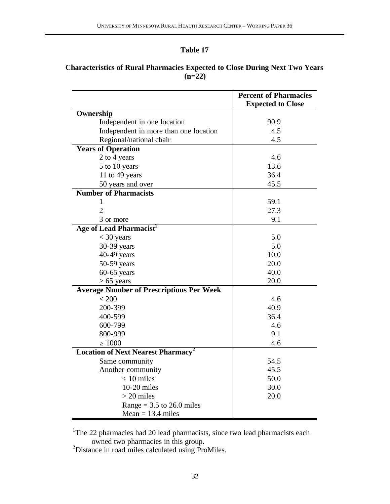# **Characteristics of Rural Pharmacies Expected to Close During Next Two Years (n=22)**

|                                                 | <b>Percent of Pharmacies</b> |
|-------------------------------------------------|------------------------------|
|                                                 | <b>Expected to Close</b>     |
| Ownership                                       |                              |
| Independent in one location                     | 90.9                         |
| Independent in more than one location           | 4.5                          |
| Regional/national chair                         | 4.5                          |
| <b>Years of Operation</b>                       |                              |
| 2 to 4 years                                    | 4.6                          |
| 5 to 10 years                                   | 13.6                         |
| 11 to 49 years                                  | 36.4                         |
| 50 years and over                               | 45.5                         |
| <b>Number of Pharmacists</b>                    |                              |
| 1                                               | 59.1                         |
| $\overline{2}$                                  | 27.3                         |
| 3 or more                                       | 9.1                          |
| Age of Lead Pharmacist <sup>1</sup>             |                              |
| $<$ 30 years                                    | 5.0                          |
| 30-39 years                                     | 5.0                          |
| 40-49 years                                     | 10.0                         |
| 50-59 years                                     | 20.0                         |
| $60-65$ years                                   | 40.0                         |
| $> 65$ years                                    | 20.0                         |
| <b>Average Number of Prescriptions Per Week</b> |                              |
| < 200                                           | 4.6                          |
| 200-399                                         | 40.9                         |
| 400-599                                         | 36.4                         |
| 600-799                                         | 4.6                          |
| 800-999                                         | 9.1                          |
| $\geq 1000$                                     | 4.6                          |
| Location of Next Nearest Pharmacy <sup>2</sup>  |                              |
| Same community                                  | 54.5                         |
| Another community                               | 45.5                         |
| $< 10$ miles                                    | 50.0                         |
| $10-20$ miles                                   | 30.0                         |
| $>$ 20 miles                                    | 20.0                         |
| Range = $3.5$ to 26.0 miles                     |                              |
| Mean $= 13.4$ miles                             |                              |

<sup>1</sup>The 22 pharmacies had 20 lead pharmacists, since two lead pharmacists each owned two pharmacies in this group.

<sup>2</sup>Distance in road miles calculated using ProMiles.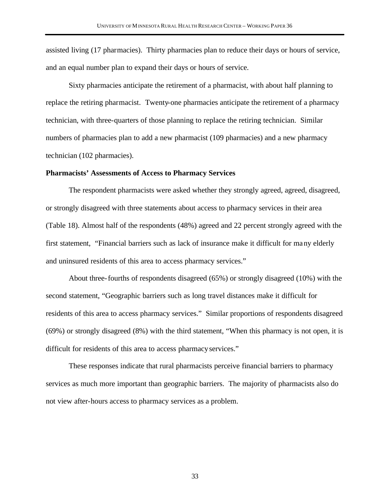assisted living (17 pharmacies). Thirty pharmacies plan to reduce their days or hours of service, and an equal number plan to expand their days or hours of service.

Sixty pharmacies anticipate the retirement of a pharmacist, with about half planning to replace the retiring pharmacist. Twenty-one pharmacies anticipate the retirement of a pharmacy technician, with three-quarters of those planning to replace the retiring technician. Similar numbers of pharmacies plan to add a new pharmacist (109 pharmacies) and a new pharmacy technician (102 pharmacies).

### **Pharmacists' Assessments of Access to Pharmacy Services**

The respondent pharmacists were asked whether they strongly agreed, agreed, disagreed, or strongly disagreed with three statements about access to pharmacy services in their area (Table 18). Almost half of the respondents (48%) agreed and 22 percent strongly agreed with the first statement, "Financial barriers such as lack of insurance make it difficult for many elderly and uninsured residents of this area to access pharmacy services."

About three-fourths of respondents disagreed (65%) or strongly disagreed (10%) with the second statement, "Geographic barriers such as long travel distances make it difficult for residents of this area to access pharmacy services." Similar proportions of respondents disagreed (69%) or strongly disagreed (8%) with the third statement, "When this pharmacy is not open, it is difficult for residents of this area to access pharmacy services."

These responses indicate that rural pharmacists perceive financial barriers to pharmacy services as much more important than geographic barriers. The majority of pharmacists also do not view after-hours access to pharmacy services as a problem.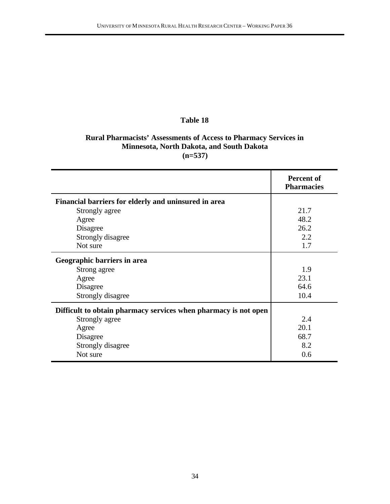# **Rural Pharmacists' Assessments of Access to Pharmacy Services in Minnesota, North Dakota, and South Dakota (n=537)**

|                                                                 | Percent of<br><b>Pharmacies</b> |
|-----------------------------------------------------------------|---------------------------------|
| Financial barriers for elderly and uninsured in area            |                                 |
| Strongly agree                                                  | 21.7                            |
| Agree                                                           | 48.2                            |
| Disagree                                                        | 26.2                            |
| Strongly disagree                                               | 2.2                             |
| Not sure                                                        | 1.7                             |
| Geographic barriers in area                                     |                                 |
| Strong agree                                                    | 1.9                             |
| Agree                                                           | 23.1                            |
| Disagree                                                        | 64.6                            |
| Strongly disagree                                               | 10.4                            |
| Difficult to obtain pharmacy services when pharmacy is not open |                                 |
| Strongly agree                                                  | 2.4                             |
| Agree                                                           | 20.1                            |
| Disagree                                                        | 68.7                            |
| Strongly disagree                                               | 8.2                             |
| Not sure                                                        | 0.6                             |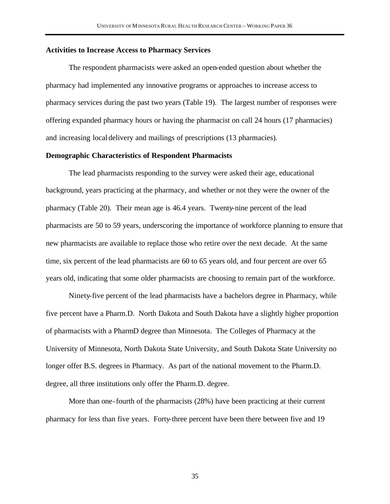### **Activities to Increase Access to Pharmacy Services**

The respondent pharmacists were asked an open-ended question about whether the pharmacy had implemented any innovative programs or approaches to increase access to pharmacy services during the past two years (Table 19). The largest number of responses were offering expanded pharmacy hours or having the pharmacist on call 24 hours (17 pharmacies) and increasing local delivery and mailings of prescriptions (13 pharmacies).

### **Demographic Characteristics of Respondent Pharmacists**

The lead pharmacists responding to the survey were asked their age, educational background, years practicing at the pharmacy, and whether or not they were the owner of the pharmacy (Table 20). Their mean age is 46.4 years. Twenty-nine percent of the lead pharmacists are 50 to 59 years, underscoring the importance of workforce planning to ensure that new pharmacists are available to replace those who retire over the next decade. At the same time, six percent of the lead pharmacists are 60 to 65 years old, and four percent are over 65 years old, indicating that some older pharmacists are choosing to remain part of the workforce.

Ninety-five percent of the lead pharmacists have a bachelors degree in Pharmacy, while five percent have a Pharm.D. North Dakota and South Dakota have a slightly higher proportion of pharmacists with a PharmD degree than Minnesota. The Colleges of Pharmacy at the University of Minnesota, North Dakota State University, and South Dakota State University no longer offer B.S. degrees in Pharmacy. As part of the national movement to the Pharm.D. degree, all three institutions only offer the Pharm.D. degree.

More than one-fourth of the pharmacists (28%) have been practicing at their current pharmacy for less than five years. Forty-three percent have been there between five and 19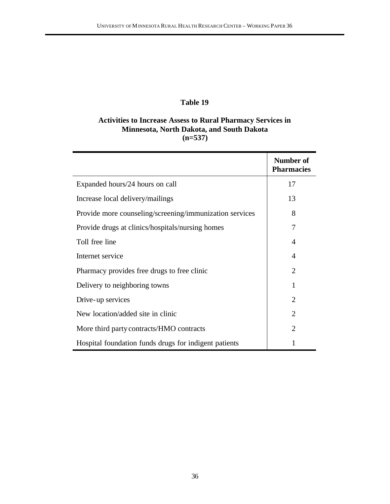# **Activities to Increase Assess to Rural Pharmacy Services in Minnesota, North Dakota, and South Dakota (n=537)**

|                                                         | Number of<br><b>Pharmacies</b> |
|---------------------------------------------------------|--------------------------------|
| Expanded hours/24 hours on call                         | 17                             |
| Increase local delivery/mailings                        | 13                             |
| Provide more counseling/screening/immunization services | 8                              |
| Provide drugs at clinics/hospitals/nursing homes        | 7                              |
| Toll free line                                          | 4                              |
| Internet service                                        | 4                              |
| Pharmacy provides free drugs to free clinic             | 2                              |
| Delivery to neighboring towns                           | 1                              |
| Drive-up services                                       | $\overline{2}$                 |
| New location/added site in clinic                       | $\overline{2}$                 |
| More third party contracts/HMO contracts                | $\overline{2}$                 |
| Hospital foundation funds drugs for indigent patients   | 1                              |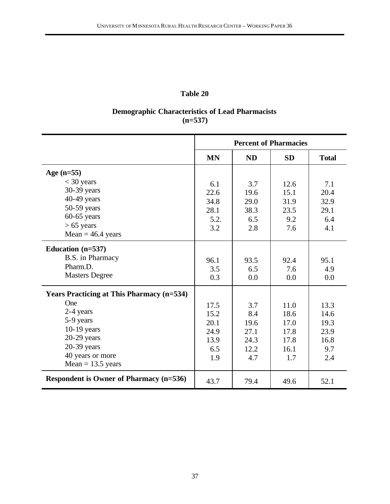# **Demographic Characteristics of Lead Pharmacists (n=537)**

|                                                                                                                           | <b>Percent of Pharmacies</b>                       |                                                   |                                                     |                                                    |
|---------------------------------------------------------------------------------------------------------------------------|----------------------------------------------------|---------------------------------------------------|-----------------------------------------------------|----------------------------------------------------|
|                                                                                                                           | <b>MN</b>                                          | <b>ND</b>                                         | <b>SD</b>                                           | <b>Total</b>                                       |
| Age $(n=55)$                                                                                                              |                                                    |                                                   |                                                     |                                                    |
| $<$ 30 years<br>30-39 years<br>$40-49$ years<br>50-59 years<br>$60-65$ years<br>$> 65$ years                              | 6.1<br>22.6<br>34.8<br>28.1<br>5.2.<br>3.2         | 3.7<br>19.6<br>29.0<br>38.3<br>6.5<br>2.8         | 12.6<br>15.1<br>31.9<br>23.5<br>9.2<br>7.6          | 7.1<br>20.4<br>32.9<br>29.1<br>6.4<br>4.1          |
| Mean = $46.4$ years                                                                                                       |                                                    |                                                   |                                                     |                                                    |
| Education $(n=537)$<br>B.S. in Pharmacy<br>Pharm.D.<br><b>Masters Degree</b>                                              | 96.1<br>3.5<br>0.3                                 | 93.5<br>6.5<br>0.0                                | 92.4<br>7.6<br>0.0                                  | 95.1<br>4.9<br>0.0                                 |
| <b>Years Practicing at This Pharmacy (n=534)</b>                                                                          |                                                    |                                                   |                                                     |                                                    |
| One<br>2-4 years<br>5-9 years<br>$10-19$ years<br>$20-29$ years<br>20-39 years<br>40 years or more<br>Mean = $13.5$ years | 17.5<br>15.2<br>20.1<br>24.9<br>13.9<br>6.5<br>1.9 | 3.7<br>8.4<br>19.6<br>27.1<br>24.3<br>12.2<br>4.7 | 11.0<br>18.6<br>17.0<br>17.8<br>17.8<br>16.1<br>1.7 | 13.3<br>14.6<br>19.3<br>23.9<br>16.8<br>9.7<br>2.4 |
| <b>Respondent is Owner of Pharmacy (n=536)</b>                                                                            | 43.7                                               | 79.4                                              | 49.6                                                | 52.1                                               |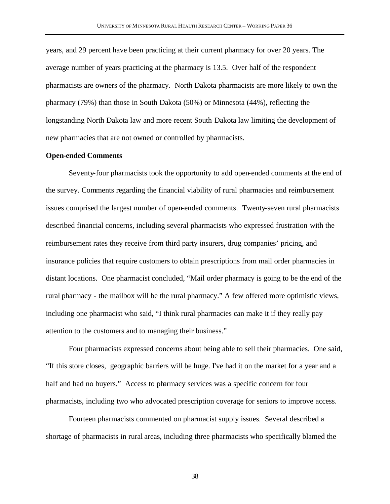years, and 29 percent have been practicing at their current pharmacy for over 20 years. The average number of years practicing at the pharmacy is 13.5. Over half of the respondent pharmacists are owners of the pharmacy. North Dakota pharmacists are more likely to own the pharmacy (79%) than those in South Dakota (50%) or Minnesota (44%), reflecting the longstanding North Dakota law and more recent South Dakota law limiting the development of new pharmacies that are not owned or controlled by pharmacists.

### **Open-ended Comments**

Seventy-four pharmacists took the opportunity to add open-ended comments at the end of the survey. Comments regarding the financial viability of rural pharmacies and reimbursement issues comprised the largest number of open-ended comments. Twenty-seven rural pharmacists described financial concerns, including several pharmacists who expressed frustration with the reimbursement rates they receive from third party insurers, drug companies' pricing, and insurance policies that require customers to obtain prescriptions from mail order pharmacies in distant locations. One pharmacist concluded, "Mail order pharmacy is going to be the end of the rural pharmacy - the mailbox will be the rural pharmacy." A few offered more optimistic views, including one pharmacist who said, "I think rural pharmacies can make it if they really pay attention to the customers and to managing their business."

Four pharmacists expressed concerns about being able to sell their pharmacies. One said, "If this store closes, geographic barriers will be huge. I've had it on the market for a year and a half and had no buyers." Access to pharmacy services was a specific concern for four pharmacists, including two who advocated prescription coverage for seniors to improve access.

Fourteen pharmacists commented on pharmacist supply issues. Several described a shortage of pharmacists in rural areas, including three pharmacists who specifically blamed the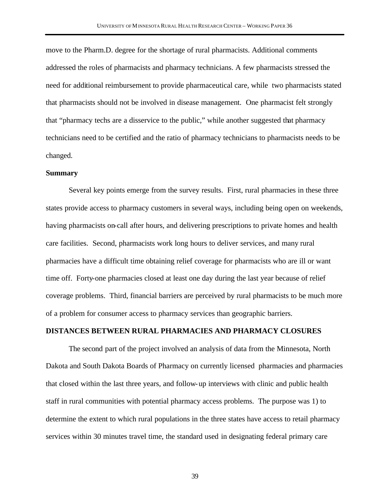move to the Pharm.D. degree for the shortage of rural pharmacists. Additional comments addressed the roles of pharmacists and pharmacy technicians. A few pharmacists stressed the need for additional reimbursement to provide pharmaceutical care, while two pharmacists stated that pharmacists should not be involved in disease management. One pharmacist felt strongly that "pharmacy techs are a disservice to the public," while another suggested that pharmacy technicians need to be certified and the ratio of pharmacy technicians to pharmacists needs to be changed.

#### **Summary**

Several key points emerge from the survey results. First, rural pharmacies in these three states provide access to pharmacy customers in several ways, including being open on weekends, having pharmacists on-call after hours, and delivering prescriptions to private homes and health care facilities. Second, pharmacists work long hours to deliver services, and many rural pharmacies have a difficult time obtaining relief coverage for pharmacists who are ill or want time off. Forty-one pharmacies closed at least one day during the last year because of relief coverage problems. Third, financial barriers are perceived by rural pharmacists to be much more of a problem for consumer access to pharmacy services than geographic barriers.

## **DISTANCES BETWEEN RURAL PHARMACIES AND PHARMACY CLOSURES**

The second part of the project involved an analysis of data from the Minnesota, North Dakota and South Dakota Boards of Pharmacy on currently licensed pharmacies and pharmacies that closed within the last three years, and follow-up interviews with clinic and public health staff in rural communities with potential pharmacy access problems. The purpose was 1) to determine the extent to which rural populations in the three states have access to retail pharmacy services within 30 minutes travel time, the standard used in designating federal primary care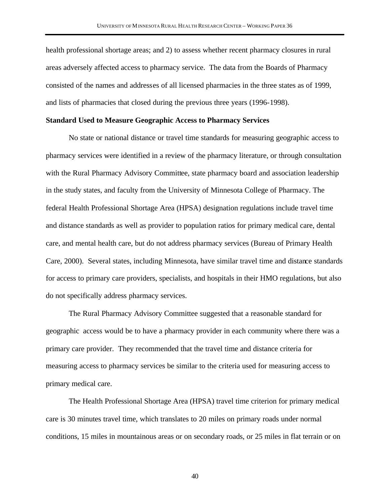health professional shortage areas; and 2) to assess whether recent pharmacy closures in rural areas adversely affected access to pharmacy service. The data from the Boards of Pharmacy consisted of the names and addresses of all licensed pharmacies in the three states as of 1999, and lists of pharmacies that closed during the previous three years (1996-1998).

## **Standard Used to Measure Geographic Access to Pharmacy Services**

No state or national distance or travel time standards for measuring geographic access to pharmacy services were identified in a review of the pharmacy literature, or through consultation with the Rural Pharmacy Advisory Committee, state pharmacy board and association leadership in the study states, and faculty from the University of Minnesota College of Pharmacy. The federal Health Professional Shortage Area (HPSA) designation regulations include travel time and distance standards as well as provider to population ratios for primary medical care, dental care, and mental health care, but do not address pharmacy services (Bureau of Primary Health Care, 2000). Several states, including Minnesota, have similar travel time and distance standards for access to primary care providers, specialists, and hospitals in their HMO regulations, but also do not specifically address pharmacy services.

The Rural Pharmacy Advisory Committee suggested that a reasonable standard for geographic access would be to have a pharmacy provider in each community where there was a primary care provider. They recommended that the travel time and distance criteria for measuring access to pharmacy services be similar to the criteria used for measuring access to primary medical care.

The Health Professional Shortage Area (HPSA) travel time criterion for primary medical care is 30 minutes travel time, which translates to 20 miles on primary roads under normal conditions, 15 miles in mountainous areas or on secondary roads, or 25 miles in flat terrain or on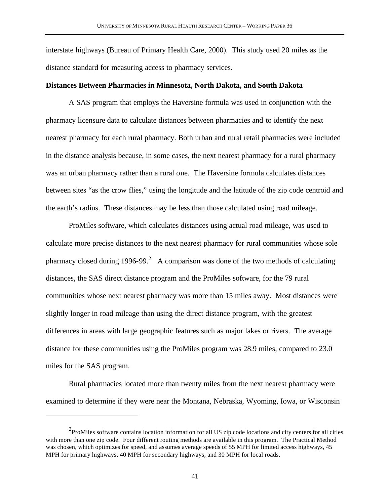interstate highways (Bureau of Primary Health Care, 2000). This study used 20 miles as the distance standard for measuring access to pharmacy services.

### **Distances Between Pharmacies in Minnesota, North Dakota, and South Dakota**

A SAS program that employs the Haversine formula was used in conjunction with the pharmacy licensure data to calculate distances between pharmacies and to identify the next nearest pharmacy for each rural pharmacy. Both urban and rural retail pharmacies were included in the distance analysis because, in some cases, the next nearest pharmacy for a rural pharmacy was an urban pharmacy rather than a rural one. The Haversine formula calculates distances between sites "as the crow flies," using the longitude and the latitude of the zip code centroid and the earth's radius. These distances may be less than those calculated using road mileage.

ProMiles software, which calculates distances using actual road mileage, was used to calculate more precise distances to the next nearest pharmacy for rural communities whose sole pharmacy closed during 1996-99.<sup>2</sup> A comparison was done of the two methods of calculating distances, the SAS direct distance program and the ProMiles software, for the 79 rural communities whose next nearest pharmacy was more than 15 miles away. Most distances were slightly longer in road mileage than using the direct distance program, with the greatest differences in areas with large geographic features such as major lakes or rivers. The average distance for these communities using the ProMiles program was 28.9 miles, compared to 23.0 miles for the SAS program.

Rural pharmacies located more than twenty miles from the next nearest pharmacy were examined to determine if they were near the Montana, Nebraska, Wyoming, Iowa, or Wisconsin

 $\overline{a}$ 

 $2$ ProMiles software contains location information for all US zip code locations and city centers for all cities with more than one zip code. Four different routing methods are available in this program. The Practical Method was chosen, which optimizes for speed, and assumes average speeds of 55 MPH for limited access highways, 45 MPH for primary highways, 40 MPH for secondary highways, and 30 MPH for local roads.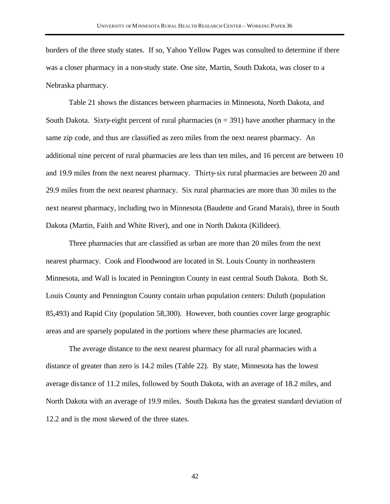borders of the three study states. If so, Yahoo Yellow Pages was consulted to determine if there was a closer pharmacy in a non-study state. One site, Martin, South Dakota, was closer to a Nebraska pharmacy.

Table 21 shows the distances between pharmacies in Minnesota, North Dakota, and South Dakota. Sixty-eight percent of rural pharmacies ( $n = 391$ ) have another pharmacy in the same zip code, and thus are classified as zero miles from the next nearest pharmacy. An additional nine percent of rural pharmacies are less than ten miles, and 16 percent are between 10 and 19.9 miles from the next nearest pharmacy. Thirty-six rural pharmacies are between 20 and 29.9 miles from the next nearest pharmacy. Six rural pharmacies are more than 30 miles to the next nearest pharmacy, including two in Minnesota (Baudette and Grand Marais), three in South Dakota (Martin, Faith and White River), and one in North Dakota (Killdeer).

Three pharmacies that are classified as urban are more than 20 miles from the next nearest pharmacy. Cook and Floodwood are located in St. Louis County in northeastern Minnesota, and Wall is located in Pennington County in east central South Dakota. Both St. Louis County and Pennington County contain urban population centers: Duluth (population 85,493) and Rapid City (population 58,300). However, both counties cover large geographic areas and are sparsely populated in the portions where these pharmacies are located.

The average distance to the next nearest pharmacy for all rural pharmacies with a distance of greater than zero is 14.2 miles (Table 22). By state, Minnesota has the lowest average distance of 11.2 miles, followed by South Dakota, with an average of 18.2 miles, and North Dakota with an average of 19.9 miles. South Dakota has the greatest standard deviation of 12.2 and is the most skewed of the three states.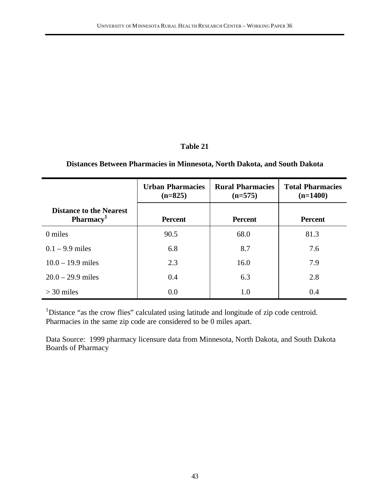# **Distances Between Pharmacies in Minnesota, North Dakota, and South Dakota**

|                                                         | <b>Urban Pharmacies</b><br><b>Rural Pharmacies</b><br>$(n=825)$<br>$(n=575)$ |                | <b>Total Pharmacies</b><br>$(n=1400)$ |  |
|---------------------------------------------------------|------------------------------------------------------------------------------|----------------|---------------------------------------|--|
| <b>Distance to the Nearest</b><br>Pharmacy <sup>1</sup> | <b>Percent</b>                                                               | <b>Percent</b> | <b>Percent</b>                        |  |
| 0 miles                                                 | 90.5                                                                         | 68.0           | 81.3                                  |  |
| $0.1 - 9.9$ miles                                       | 6.8                                                                          | 8.7            | 7.6                                   |  |
| $10.0 - 19.9$ miles                                     | 2.3                                                                          | 16.0           | 7.9                                   |  |
| $20.0 - 29.9$ miles                                     | 0.4                                                                          | 6.3            | 2.8                                   |  |
| $>$ 30 miles                                            | 0.0                                                                          | 1.0            | 0.4                                   |  |

<sup>1</sup>Distance "as the crow flies" calculated using latitude and longitude of zip code centroid. Pharmacies in the same zip code are considered to be 0 miles apart.

Data Source: 1999 pharmacy licensure data from Minnesota, North Dakota, and South Dakota Boards of Pharmacy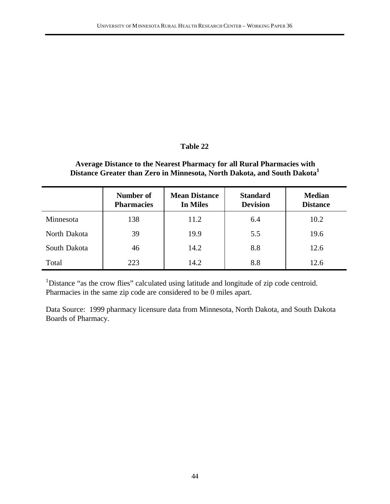# **Average Distance to the Nearest Pharmacy for all Rural Pharmacies with Distance Greater than Zero in Minnesota, North Dakota, and South Dakota<sup>1</sup>**

|              | Number of<br><b>Pharmacies</b> | <b>Mean Distance</b><br>In Miles | <b>Standard</b><br><b>Devision</b> | <b>Median</b><br><b>Distance</b> |
|--------------|--------------------------------|----------------------------------|------------------------------------|----------------------------------|
| Minnesota    | 138                            | 11.2                             | 6.4                                | 10.2                             |
| North Dakota | 39                             | 19.9                             | 5.5                                | 19.6                             |
| South Dakota | 46                             | 14.2                             | 8.8                                | 12.6                             |
| Total        | 223                            | 14.2                             | 8.8                                | 12.6                             |

<sup>1</sup>Distance "as the crow flies" calculated using latitude and longitude of zip code centroid. Pharmacies in the same zip code are considered to be 0 miles apart.

Data Source: 1999 pharmacy licensure data from Minnesota, North Dakota, and South Dakota Boards of Pharmacy.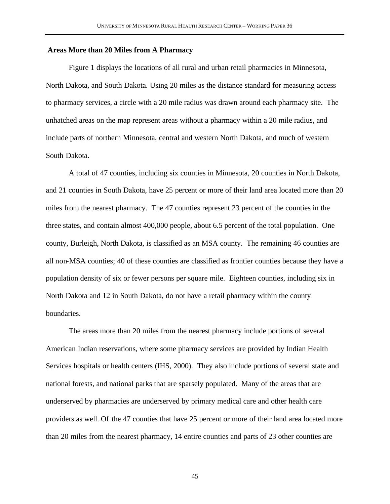### **Areas More than 20 Miles from A Pharmacy**

Figure 1 displays the locations of all rural and urban retail pharmacies in Minnesota, North Dakota, and South Dakota. Using 20 miles as the distance standard for measuring access to pharmacy services, a circle with a 20 mile radius was drawn around each pharmacy site. The unhatched areas on the map represent areas without a pharmacy within a 20 mile radius, and include parts of northern Minnesota, central and western North Dakota, and much of western South Dakota.

A total of 47 counties, including six counties in Minnesota, 20 counties in North Dakota, and 21 counties in South Dakota, have 25 percent or more of their land area located more than 20 miles from the nearest pharmacy. The 47 counties represent 23 percent of the counties in the three states, and contain almost 400,000 people, about 6.5 percent of the total population. One county, Burleigh, North Dakota, is classified as an MSA county. The remaining 46 counties are all non-MSA counties; 40 of these counties are classified as frontier counties because they have a population density of six or fewer persons per square mile. Eighteen counties, including six in North Dakota and 12 in South Dakota, do not have a retail pharmacy within the county boundaries.

The areas more than 20 miles from the nearest pharmacy include portions of several American Indian reservations, where some pharmacy services are provided by Indian Health Services hospitals or health centers (IHS, 2000). They also include portions of several state and national forests, and national parks that are sparsely populated. Many of the areas that are underserved by pharmacies are underserved by primary medical care and other health care providers as well. Of the 47 counties that have 25 percent or more of their land area located more than 20 miles from the nearest pharmacy, 14 entire counties and parts of 23 other counties are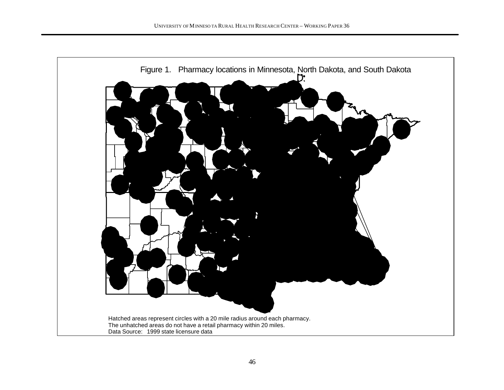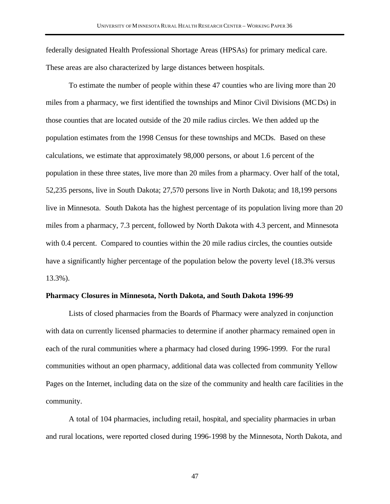federally designated Health Professional Shortage Areas (HPSAs) for primary medical care. These areas are also characterized by large distances between hospitals.

To estimate the number of people within these 47 counties who are living more than 20 miles from a pharmacy, we first identified the townships and Minor Civil Divisions (MCDs) in those counties that are located outside of the 20 mile radius circles. We then added up the population estimates from the 1998 Census for these townships and MCDs. Based on these calculations, we estimate that approximately 98,000 persons, or about 1.6 percent of the population in these three states, live more than 20 miles from a pharmacy. Over half of the total, 52,235 persons, live in South Dakota; 27,570 persons live in North Dakota; and 18,199 persons live in Minnesota. South Dakota has the highest percentage of its population living more than 20 miles from a pharmacy, 7.3 percent, followed by North Dakota with 4.3 percent, and Minnesota with 0.4 percent. Compared to counties within the 20 mile radius circles, the counties outside have a significantly higher percentage of the population below the poverty level (18.3% versus 13.3%).

### **Pharmacy Closures in Minnesota, North Dakota, and South Dakota 1996-99**

Lists of closed pharmacies from the Boards of Pharmacy were analyzed in conjunction with data on currently licensed pharmacies to determine if another pharmacy remained open in each of the rural communities where a pharmacy had closed during 1996-1999. For the rural communities without an open pharmacy, additional data was collected from community Yellow Pages on the Internet, including data on the size of the community and health care facilities in the community.

A total of 104 pharmacies, including retail, hospital, and speciality pharmacies in urban and rural locations, were reported closed during 1996-1998 by the Minnesota, North Dakota, and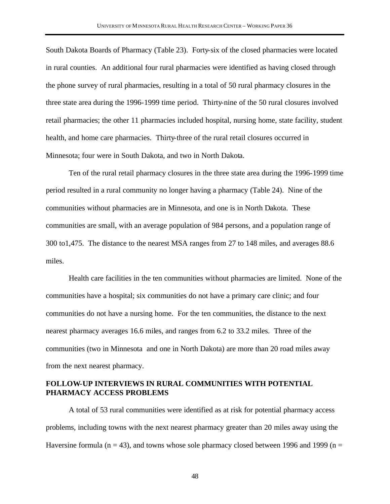South Dakota Boards of Pharmacy (Table 23). Forty-six of the closed pharmacies were located in rural counties. An additional four rural pharmacies were identified as having closed through the phone survey of rural pharmacies, resulting in a total of 50 rural pharmacy closures in the three state area during the 1996-1999 time period. Thirty-nine of the 50 rural closures involved retail pharmacies; the other 11 pharmacies included hospital, nursing home, state facility, student health, and home care pharmacies. Thirty-three of the rural retail closures occurred in Minnesota; four were in South Dakota, and two in North Dakota.

Ten of the rural retail pharmacy closures in the three state area during the 1996-1999 time period resulted in a rural community no longer having a pharmacy (Table 24). Nine of the communities without pharmacies are in Minnesota, and one is in North Dakota. These communities are small, with an average population of 984 persons, and a population range of 300 to1,475. The distance to the nearest MSA ranges from 27 to 148 miles, and averages 88.6 miles.

Health care facilities in the ten communities without pharmacies are limited. None of the communities have a hospital; six communities do not have a primary care clinic; and four communities do not have a nursing home. For the ten communities, the distance to the next nearest pharmacy averages 16.6 miles, and ranges from 6.2 to 33.2 miles. Three of the communities (two in Minnesota and one in North Dakota) are more than 20 road miles away from the next nearest pharmacy.

## **FOLLOW-UP INTERVIEWS IN RURAL COMMUNITIES WITH POTENTIAL PHARMACY ACCESS PROBLEMS**

A total of 53 rural communities were identified as at risk for potential pharmacy access problems, including towns with the next nearest pharmacy greater than 20 miles away using the Haversine formula ( $n = 43$ ), and towns whose sole pharmacy closed between 1996 and 1999 ( $n =$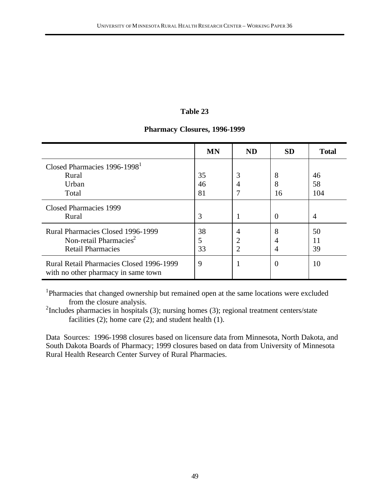## **Pharmacy Closures, 1996-1999**

|                                                                                                            | <b>MN</b>      | <b>ND</b>                | <b>SD</b>    | <b>Total</b>    |
|------------------------------------------------------------------------------------------------------------|----------------|--------------------------|--------------|-----------------|
| Closed Pharmacies 1996-1998 <sup>1</sup><br>Rural<br>Urban<br>Total                                        | 35<br>46<br>81 | 3<br>4                   | 8<br>8<br>16 | 46<br>58<br>104 |
| Closed Pharmacies 1999<br>Rural                                                                            | 3              |                          |              | $\overline{4}$  |
| <b>Rural Pharmacies Closed 1996-1999</b><br>Non-retail Pharmacies <sup>2</sup><br><b>Retail Pharmacies</b> | 38<br>5<br>33  | 4<br>2<br>$\overline{2}$ | 8<br>4       | 50<br>11<br>39  |
| <b>Rural Retail Pharmacies Closed 1996-1999</b><br>with no other pharmacy in same town                     | 9              |                          | $\Omega$     | 10              |

<sup>1</sup>Pharmacies that changed ownership but remained open at the same locations were excluded from the closure analysis.

 $2$ Includes pharmacies in hospitals (3); nursing homes (3); regional treatment centers/state facilities (2); home care (2); and student health (1).

Data Sources: 1996-1998 closures based on licensure data from Minnesota, North Dakota, and South Dakota Boards of Pharmacy; 1999 closures based on data from University of Minnesota Rural Health Research Center Survey of Rural Pharmacies.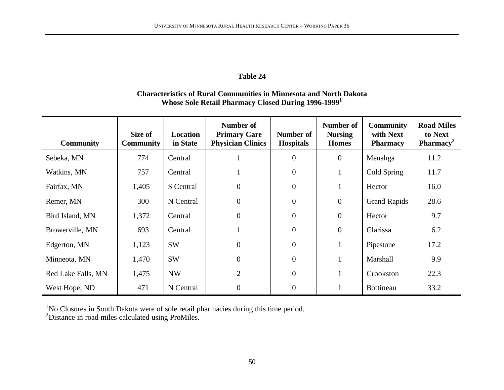# **Characteristics of Rural Communities in Minnesota and North Dakota Whose Sole Retail Pharmacy Closed During 1996-1999<sup>1</sup>**

| <b>Community</b>   | Size of<br><b>Community</b> | <b>Location</b><br>in State | Number of<br><b>Primary Care</b><br><b>Physician Clinics</b> | Number of<br><b>Hospitals</b> | Number of<br><b>Nursing</b><br><b>Homes</b> | <b>Community</b><br>with Next<br><b>Pharmacy</b> | <b>Road Miles</b><br>to Next<br><b>Pharmacy</b> <sup>2</sup> |
|--------------------|-----------------------------|-----------------------------|--------------------------------------------------------------|-------------------------------|---------------------------------------------|--------------------------------------------------|--------------------------------------------------------------|
| Sebeka, MN         | 774                         | Central                     |                                                              | $\mathbf{0}$                  | $\boldsymbol{0}$                            | Menahga                                          | 11.2                                                         |
| Watkins, MN        | 757                         | Central                     |                                                              | $\mathbf{0}$                  |                                             | Cold Spring                                      | 11.7                                                         |
| Fairfax, MN        | 1,405                       | S Central                   | $\overline{0}$                                               | $\mathbf{0}$                  |                                             | Hector                                           | 16.0                                                         |
| Remer, MN          | 300                         | N Central                   | $\overline{0}$                                               | $\mathbf{0}$                  | $\mathbf{0}$                                | <b>Grand Rapids</b>                              | 28.6                                                         |
| Bird Island, MN    | 1,372                       | Central                     | $\overline{0}$                                               | $\mathbf{0}$                  | $\mathbf{0}$                                | Hector                                           | 9.7                                                          |
| Browerville, MN    | 693                         | Central                     |                                                              | $\mathbf{0}$                  | $\mathbf{0}$                                | Clarissa                                         | 6.2                                                          |
| Edgerton, MN       | 1,123                       | <b>SW</b>                   | $\overline{0}$                                               | $\overline{0}$                |                                             | Pipestone                                        | 17.2                                                         |
| Minneota, MN       | 1,470                       | <b>SW</b>                   | $\overline{0}$                                               | $\overline{0}$                |                                             | Marshall                                         | 9.9                                                          |
| Red Lake Falls, MN | 1,475                       | <b>NW</b>                   | $\overline{2}$                                               | $\overline{0}$                |                                             | Crookston                                        | 22.3                                                         |
| West Hope, ND      | 471                         | N Central                   | $\overline{0}$                                               | $\overline{0}$                |                                             | Bottineau                                        | 33.2                                                         |

 $1$ No Closures in South Dakota were of sole retail pharmacies during this time period.

<sup>2</sup>Distance in road miles calculated using ProMiles.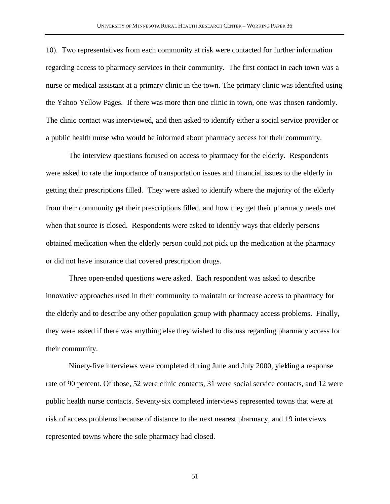10). Two representatives from each community at risk were contacted for further information regarding access to pharmacy services in their community. The first contact in each town was a nurse or medical assistant at a primary clinic in the town. The primary clinic was identified using the Yahoo Yellow Pages. If there was more than one clinic in town, one was chosen randomly. The clinic contact was interviewed, and then asked to identify either a social service provider or a public health nurse who would be informed about pharmacy access for their community.

The interview questions focused on access to pharmacy for the elderly. Respondents were asked to rate the importance of transportation issues and financial issues to the elderly in getting their prescriptions filled. They were asked to identify where the majority of the elderly from their community get their prescriptions filled, and how they get their pharmacy needs met when that source is closed. Respondents were asked to identify ways that elderly persons obtained medication when the elderly person could not pick up the medication at the pharmacy or did not have insurance that covered prescription drugs.

Three open-ended questions were asked. Each respondent was asked to describe innovative approaches used in their community to maintain or increase access to pharmacy for the elderly and to describe any other population group with pharmacy access problems. Finally, they were asked if there was anything else they wished to discuss regarding pharmacy access for their community.

Ninety-five interviews were completed during June and July 2000, yielding a response rate of 90 percent. Of those, 52 were clinic contacts, 31 were social service contacts, and 12 were public health nurse contacts. Seventy-six completed interviews represented towns that were at risk of access problems because of distance to the next nearest pharmacy, and 19 interviews represented towns where the sole pharmacy had closed.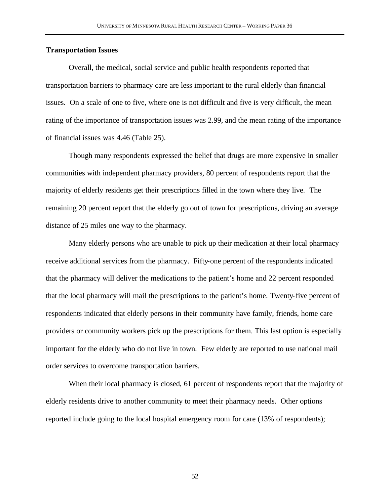## **Transportation Issues**

Overall, the medical, social service and public health respondents reported that transportation barriers to pharmacy care are less important to the rural elderly than financial issues. On a scale of one to five, where one is not difficult and five is very difficult, the mean rating of the importance of transportation issues was 2.99, and the mean rating of the importance of financial issues was 4.46 (Table 25).

Though many respondents expressed the belief that drugs are more expensive in smaller communities with independent pharmacy providers, 80 percent of respondents report that the majority of elderly residents get their prescriptions filled in the town where they live. The remaining 20 percent report that the elderly go out of town for prescriptions, driving an average distance of 25 miles one way to the pharmacy.

Many elderly persons who are unable to pick up their medication at their local pharmacy receive additional services from the pharmacy. Fifty-one percent of the respondents indicated that the pharmacy will deliver the medications to the patient's home and 22 percent responded that the local pharmacy will mail the prescriptions to the patient's home. Twenty-five percent of respondents indicated that elderly persons in their community have family, friends, home care providers or community workers pick up the prescriptions for them. This last option is especially important for the elderly who do not live in town. Few elderly are reported to use national mail order services to overcome transportation barriers.

When their local pharmacy is closed, 61 percent of respondents report that the majority of elderly residents drive to another community to meet their pharmacy needs. Other options reported include going to the local hospital emergency room for care (13% of respondents);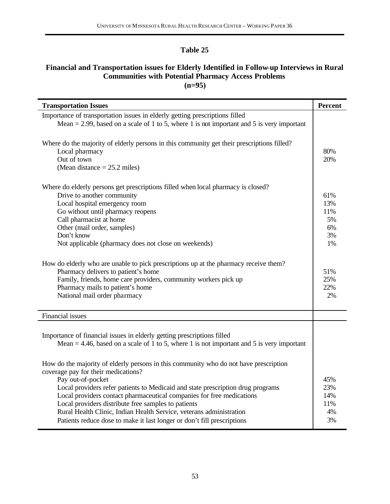# **Financial and Transportation issues for Elderly Identified in Follow-up Interviews in Rural Communities with Potential Pharmacy Access Problems (n=95)**

| <b>Transportation Issues</b>                                                                                                                                                                                                                                                                                                                                                                                                                                                                                                                                                               | <b>Percent</b>                                                       |
|--------------------------------------------------------------------------------------------------------------------------------------------------------------------------------------------------------------------------------------------------------------------------------------------------------------------------------------------------------------------------------------------------------------------------------------------------------------------------------------------------------------------------------------------------------------------------------------------|----------------------------------------------------------------------|
| Importance of transportation issues in elderly getting prescriptions filled<br>Mean = 2.99, based on a scale of 1 to 5, where 1 is not important and 5 is very important                                                                                                                                                                                                                                                                                                                                                                                                                   |                                                                      |
| Where do the majority of elderly persons in this community get their prescriptions filled?<br>Local pharmacy<br>Out of town<br>(Mean distance $= 25.2$ miles)                                                                                                                                                                                                                                                                                                                                                                                                                              | 80%<br>20%                                                           |
| Where do elderly persons get prescriptions filled when local pharmacy is closed?<br>Drive to another community<br>Local hospital emergency room<br>Go without until pharmacy reopens<br>Call pharmacist at home<br>Other (mail order, samples)<br>Don't know<br>Not applicable (pharmacy does not close on weekends)<br>How do elderly who are unable to pick prescriptions up at the pharmacy receive them?<br>Pharmacy delivers to patient's home<br>Family, friends, home care providers, community workers pick up<br>Pharmacy mails to patient's home<br>National mail order pharmacy | 61%<br>13%<br>11%<br>5%<br>6%<br>3%<br>1%<br>51%<br>25%<br>22%<br>2% |
| Financial issues                                                                                                                                                                                                                                                                                                                                                                                                                                                                                                                                                                           |                                                                      |
| Importance of financial issues in elderly getting prescriptions filled<br>Mean = 4.46, based on a scale of 1 to 5, where 1 is not important and 5 is very important                                                                                                                                                                                                                                                                                                                                                                                                                        |                                                                      |
| How do the majority of elderly persons in this community who do not have prescription<br>coverage pay for their medications?<br>Pay out-of-pocket<br>Local providers refer patients to Medicaid and state prescription drug programs<br>Local providers contact pharmaceutical companies for free medications<br>Local providers distribute free samples to patients<br>Rural Health Clinic, Indian Health Service, veterans administration<br>Patients reduce dose to make it last longer or don't fill prescriptions                                                                     | 45%<br>23%<br>14%<br>11%<br>4%<br>3%                                 |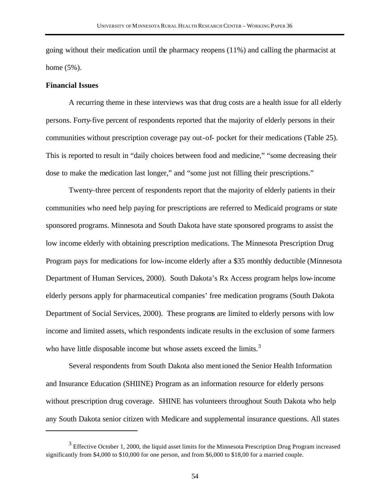going without their medication until the pharmacy reopens (11%) and calling the pharmacist at home (5%).

## **Financial Issues**

 $\overline{a}$ 

A recurring theme in these interviews was that drug costs are a health issue for all elderly persons. Forty-five percent of respondents reported that the majority of elderly persons in their communities without prescription coverage pay out-of- pocket for their medications (Table 25). This is reported to result in "daily choices between food and medicine," "some decreasing their dose to make the medication last longer," and "some just not filling their prescriptions."

Twenty–three percent of respondents report that the majority of elderly patients in their communities who need help paying for prescriptions are referred to Medicaid programs or state sponsored programs. Minnesota and South Dakota have state sponsored programs to assist the low income elderly with obtaining prescription medications. The Minnesota Prescription Drug Program pays for medications for low-income elderly after a \$35 monthly deductible (Minnesota Department of Human Services, 2000). South Dakota's Rx Access program helps low-income elderly persons apply for pharmaceutical companies' free medication programs (South Dakota Department of Social Services, 2000). These programs are limited to elderly persons with low income and limited assets, which respondents indicate results in the exclusion of some farmers who have little disposable income but whose assets exceed the limits.<sup>3</sup>

Several respondents from South Dakota also mentioned the Senior Health Information and Insurance Education (SHIINE) Program as an information resource for elderly persons without prescription drug coverage. SHINE has volunteers throughout South Dakota who help any South Dakota senior citizen with Medicare and supplemental insurance questions. All states

 $3$  Effective October 1, 2000, the liquid asset limits for the Minnesota Prescription Drug Program increased significantly from \$4,000 to \$10,000 for one person, and from \$6,000 to \$18,00 for a married couple.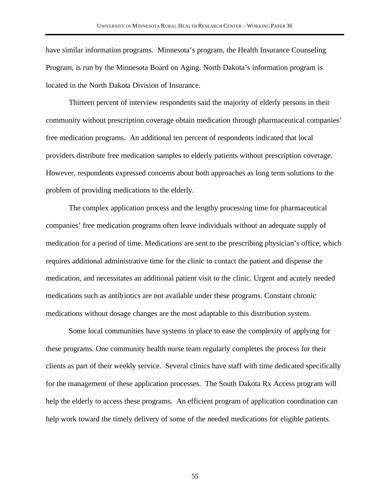have similar information programs. Minnesota's program, the Health Insurance Counseling Program, is run by the Minnesota Board on Aging. North Dakota's information program is located in the North Dakota Division of Insurance.

Thirteen percent of interview respondents said the majority of elderly persons in their community without prescription coverage obtain medication through pharmaceutical companies' free medication programs. An additional ten percent of respondents indicated that local providers distribute free medication samples to elderly patients without prescription coverage. However, respondents expressed concerns about both approaches as long term solutions to the problem of providing medications to the elderly.

The complex application process and the lengthy processing time for pharmaceutical companies' free medication programs often leave individuals without an adequate supply of medication for a period of time. Medications are sent to the prescribing physician's office, which requires additional administrative time for the clinic to contact the patient and dispense the medication, and necessitates an additional patient visit to the clinic. Urgent and acutely needed medications such as antibiotics are not available under these programs. Constant chronic medications without dosage changes are the most adaptable to this distribution system.

Some local communities have systems in place to ease the complexity of applying for these programs. One community health nurse team regularly completes the process for their clients as part of their weekly service. Several clinics have staff with time dedicated specifically for the management of these application processes. The South Dakota Rx Access program will help the elderly to access these programs. An efficient program of application coordination can help work toward the timely delivery of some of the needed medications for eligible patients.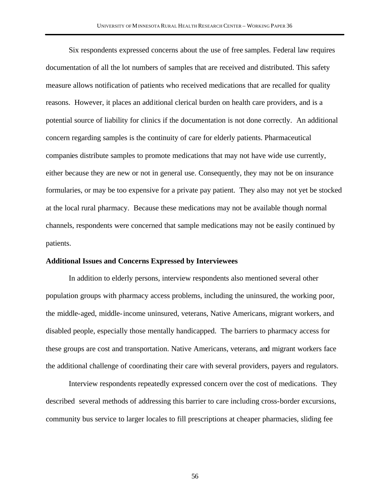Six respondents expressed concerns about the use of free samples. Federal law requires documentation of all the lot numbers of samples that are received and distributed. This safety measure allows notification of patients who received medications that are recalled for quality reasons. However, it places an additional clerical burden on health care providers, and is a potential source of liability for clinics if the documentation is not done correctly. An additional concern regarding samples is the continuity of care for elderly patients. Pharmaceutical companies distribute samples to promote medications that may not have wide use currently, either because they are new or not in general use. Consequently, they may not be on insurance formularies, or may be too expensive for a private pay patient. They also may not yet be stocked at the local rural pharmacy. Because these medications may not be available though normal channels, respondents were concerned that sample medications may not be easily continued by patients.

### **Additional Issues and Concerns Expressed by Interviewees**

In addition to elderly persons, interview respondents also mentioned several other population groups with pharmacy access problems, including the uninsured, the working poor, the middle-aged, middle-income uninsured, veterans, Native Americans, migrant workers, and disabled people, especially those mentally handicapped. The barriers to pharmacy access for these groups are cost and transportation. Native Americans, veterans, and migrant workers face the additional challenge of coordinating their care with several providers, payers and regulators.

Interview respondents repeatedly expressed concern over the cost of medications. They described several methods of addressing this barrier to care including cross-border excursions, community bus service to larger locales to fill prescriptions at cheaper pharmacies, sliding fee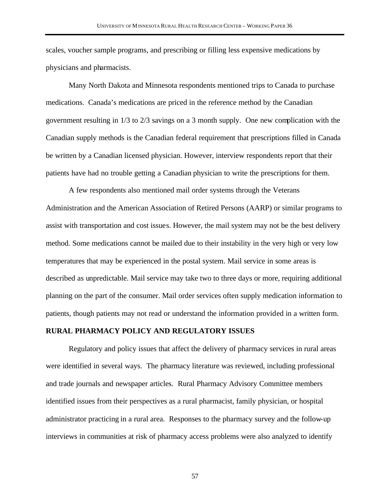scales, voucher sample programs, and prescribing or filling less expensive medications by physicians and pharmacists.

Many North Dakota and Minnesota respondents mentioned trips to Canada to purchase medications. Canada's medications are priced in the reference method by the Canadian government resulting in 1/3 to 2/3 savings on a 3 month supply. One new complication with the Canadian supply methods is the Canadian federal requirement that prescriptions filled in Canada be written by a Canadian licensed physician. However, interview respondents report that their patients have had no trouble getting a Canadian physician to write the prescriptions for them.

A few respondents also mentioned mail order systems through the Veterans Administration and the American Association of Retired Persons (AARP) or similar programs to assist with transportation and cost issues. However, the mail system may not be the best delivery method. Some medications cannot be mailed due to their instability in the very high or very low temperatures that may be experienced in the postal system. Mail service in some areas is described as unpredictable. Mail service may take two to three days or more, requiring additional planning on the part of the consumer. Mail order services often supply medication information to patients, though patients may not read or understand the information provided in a written form.

### **RURAL PHARMACY POLICY AND REGULATORY ISSUES**

Regulatory and policy issues that affect the delivery of pharmacy services in rural areas were identified in several ways. The pharmacy literature was reviewed, including professional and trade journals and newspaper articles. Rural Pharmacy Advisory Committee members identified issues from their perspectives as a rural pharmacist, family physician, or hospital administrator practicing in a rural area. Responses to the pharmacy survey and the follow-up interviews in communities at risk of pharmacy access problems were also analyzed to identify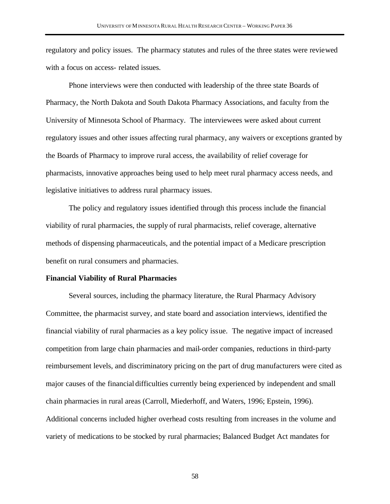regulatory and policy issues. The pharmacy statutes and rules of the three states were reviewed with a focus on access- related issues.

Phone interviews were then conducted with leadership of the three state Boards of Pharmacy, the North Dakota and South Dakota Pharmacy Associations, and faculty from the University of Minnesota School of Pharmacy. The interviewees were asked about current regulatory issues and other issues affecting rural pharmacy, any waivers or exceptions granted by the Boards of Pharmacy to improve rural access, the availability of relief coverage for pharmacists, innovative approaches being used to help meet rural pharmacy access needs, and legislative initiatives to address rural pharmacy issues.

The policy and regulatory issues identified through this process include the financial viability of rural pharmacies, the supply of rural pharmacists, relief coverage, alternative methods of dispensing pharmaceuticals, and the potential impact of a Medicare prescription benefit on rural consumers and pharmacies.

## **Financial Viability of Rural Pharmacies**

Several sources, including the pharmacy literature, the Rural Pharmacy Advisory Committee, the pharmacist survey, and state board and association interviews, identified the financial viability of rural pharmacies as a key policy issue. The negative impact of increased competition from large chain pharmacies and mail-order companies, reductions in third-party reimbursement levels, and discriminatory pricing on the part of drug manufacturers were cited as major causes of the financial difficulties currently being experienced by independent and small chain pharmacies in rural areas (Carroll, Miederhoff, and Waters, 1996; Epstein, 1996). Additional concerns included higher overhead costs resulting from increases in the volume and variety of medications to be stocked by rural pharmacies; Balanced Budget Act mandates for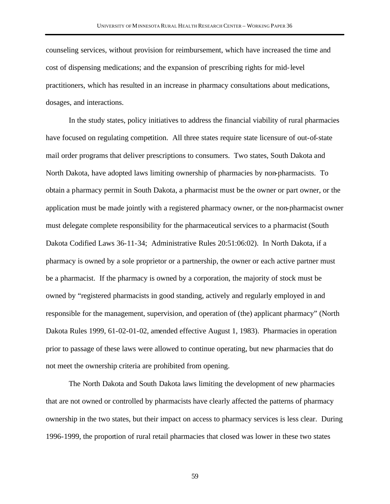counseling services, without provision for reimbursement, which have increased the time and cost of dispensing medications; and the expansion of prescribing rights for mid-level practitioners, which has resulted in an increase in pharmacy consultations about medications, dosages, and interactions.

In the study states, policy initiatives to address the financial viability of rural pharmacies have focused on regulating competition. All three states require state licensure of out-of-state mail order programs that deliver prescriptions to consumers. Two states, South Dakota and North Dakota, have adopted laws limiting ownership of pharmacies by non-pharmacists. To obtain a pharmacy permit in South Dakota, a pharmacist must be the owner or part owner, or the application must be made jointly with a registered pharmacy owner, or the non-pharmacist owner must delegate complete responsibility for the pharmaceutical services to a pharmacist (South Dakota Codified Laws 36-11-34; Administrative Rules 20:51:06:02). In North Dakota, if a pharmacy is owned by a sole proprietor or a partnership, the owner or each active partner must be a pharmacist. If the pharmacy is owned by a corporation, the majority of stock must be owned by "registered pharmacists in good standing, actively and regularly employed in and responsible for the management, supervision, and operation of (the) applicant pharmacy" (North Dakota Rules 1999, 61-02-01-02, amended effective August 1, 1983). Pharmacies in operation prior to passage of these laws were allowed to continue operating, but new pharmacies that do not meet the ownership criteria are prohibited from opening.

The North Dakota and South Dakota laws limiting the development of new pharmacies that are not owned or controlled by pharmacists have clearly affected the patterns of pharmacy ownership in the two states, but their impact on access to pharmacy services is less clear. During 1996-1999, the proportion of rural retail pharmacies that closed was lower in these two states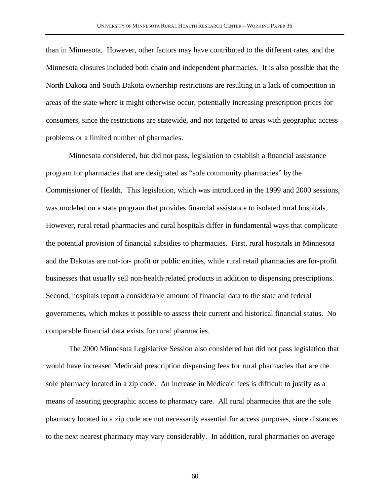than in Minnesota. However, other factors may have contributed to the different rates, and the Minnesota closures included both chain and independent pharmacies. It is also possible that the North Dakota and South Dakota ownership restrictions are resulting in a lack of competition in areas of the state where it might otherwise occur, potentially increasing prescription prices for consumers, since the restrictions are statewide, and not targeted to areas with geographic access problems or a limited number of pharmacies.

Minnesota considered, but did not pass, legislation to establish a financial assistance program for pharmacies that are designated as "sole community pharmacies" by the Commissioner of Health. This legislation, which was introduced in the 1999 and 2000 sessions, was modeled on a state program that provides financial assistance to isolated rural hospitals. However, rural retail pharmacies and rural hospitals differ in fundamental ways that complicate the potential provision of financial subsidies to pharmacies. First, rural hospitals in Minnesota and the Dakotas are not-for- profit or public entities, while rural retail pharmacies are for-profit businesses that usua lly sell non-health-related products in addition to dispensing prescriptions. Second, hospitals report a considerable amount of financial data to the state and federal governments, which makes it possible to assess their current and historical financial status. No comparable financial data exists for rural pharmacies.

The 2000 Minnesota Legislative Session also considered but did not pass legislation that would have increased Medicaid prescription dispensing fees for rural pharmacies that are the sole pharmacy located in a zip code. An increase in Medicaid fees is difficult to justify as a means of assuring geographic access to pharmacy care. All rural pharmacies that are the sole pharmacy located in a zip code are not necessarily essential for access purposes, since distances to the next nearest pharmacy may vary considerably. In addition, rural pharmacies on average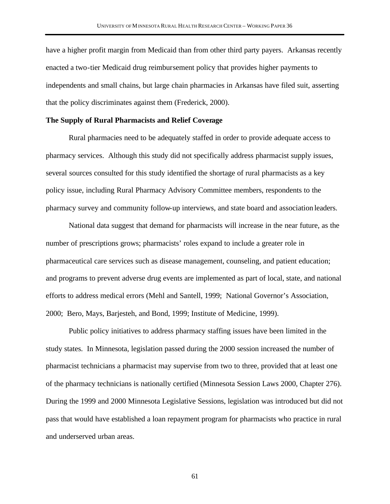have a higher profit margin from Medicaid than from other third party payers. Arkansas recently enacted a two-tier Medicaid drug reimbursement policy that provides higher payments to independents and small chains, but large chain pharmacies in Arkansas have filed suit, asserting that the policy discriminates against them (Frederick, 2000).

## **The Supply of Rural Pharmacists and Relief Coverage**

Rural pharmacies need to be adequately staffed in order to provide adequate access to pharmacy services. Although this study did not specifically address pharmacist supply issues, several sources consulted for this study identified the shortage of rural pharmacists as a key policy issue, including Rural Pharmacy Advisory Committee members, respondents to the pharmacy survey and community follow-up interviews, and state board and association leaders.

National data suggest that demand for pharmacists will increase in the near future, as the number of prescriptions grows; pharmacists' roles expand to include a greater role in pharmaceutical care services such as disease management, counseling, and patient education; and programs to prevent adverse drug events are implemented as part of local, state, and national efforts to address medical errors (Mehl and Santell, 1999; National Governor's Association, 2000; Bero, Mays, Barjesteh, and Bond, 1999; Institute of Medicine, 1999).

Public policy initiatives to address pharmacy staffing issues have been limited in the study states. In Minnesota, legislation passed during the 2000 session increased the number of pharmacist technicians a pharmacist may supervise from two to three, provided that at least one of the pharmacy technicians is nationally certified (Minnesota Session Laws 2000, Chapter 276). During the 1999 and 2000 Minnesota Legislative Sessions, legislation was introduced but did not pass that would have established a loan repayment program for pharmacists who practice in rural and underserved urban areas.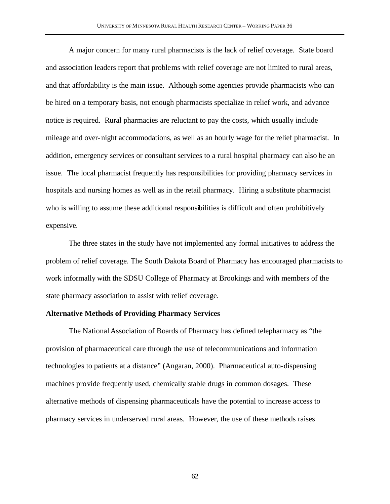A major concern for many rural pharmacists is the lack of relief coverage. State board and association leaders report that problems with relief coverage are not limited to rural areas, and that affordability is the main issue. Although some agencies provide pharmacists who can be hired on a temporary basis, not enough pharmacists specialize in relief work, and advance notice is required. Rural pharmacies are reluctant to pay the costs, which usually include mileage and over-night accommodations, as well as an hourly wage for the relief pharmacist. In addition, emergency services or consultant services to a rural hospital pharmacy can also be an issue. The local pharmacist frequently has responsibilities for providing pharmacy services in hospitals and nursing homes as well as in the retail pharmacy. Hiring a substitute pharmacist who is willing to assume these additional responsibilities is difficult and often prohibitively expensive.

The three states in the study have not implemented any formal initiatives to address the problem of relief coverage. The South Dakota Board of Pharmacy has encouraged pharmacists to work informally with the SDSU College of Pharmacy at Brookings and with members of the state pharmacy association to assist with relief coverage.

## **Alternative Methods of Providing Pharmacy Services**

The National Association of Boards of Pharmacy has defined telepharmacy as "the provision of pharmaceutical care through the use of telecommunications and information technologies to patients at a distance" (Angaran, 2000). Pharmaceutical auto-dispensing machines provide frequently used, chemically stable drugs in common dosages. These alternative methods of dispensing pharmaceuticals have the potential to increase access to pharmacy services in underserved rural areas. However, the use of these methods raises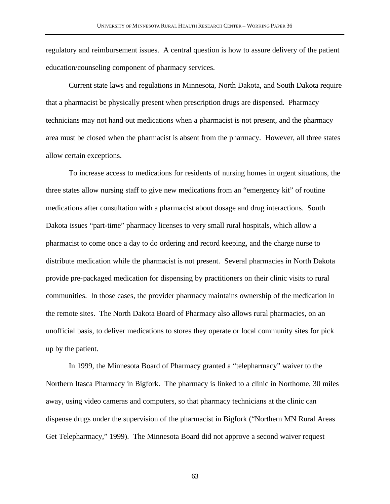regulatory and reimbursement issues. A central question is how to assure delivery of the patient education/counseling component of pharmacy services.

Current state laws and regulations in Minnesota, North Dakota, and South Dakota require that a pharmacist be physically present when prescription drugs are dispensed. Pharmacy technicians may not hand out medications when a pharmacist is not present, and the pharmacy area must be closed when the pharmacist is absent from the pharmacy. However, all three states allow certain exceptions.

To increase access to medications for residents of nursing homes in urgent situations, the three states allow nursing staff to give new medications from an "emergency kit" of routine medications after consultation with a pharma cist about dosage and drug interactions. South Dakota issues "part-time" pharmacy licenses to very small rural hospitals, which allow a pharmacist to come once a day to do ordering and record keeping, and the charge nurse to distribute medication while the pharmacist is not present. Several pharmacies in North Dakota provide pre-packaged medication for dispensing by practitioners on their clinic visits to rural communities. In those cases, the provider pharmacy maintains ownership of the medication in the remote sites. The North Dakota Board of Pharmacy also allows rural pharmacies, on an unofficial basis, to deliver medications to stores they operate or local community sites for pick up by the patient.

In 1999, the Minnesota Board of Pharmacy granted a "telepharmacy" waiver to the Northern Itasca Pharmacy in Bigfork. The pharmacy is linked to a clinic in Northome, 30 miles away, using video cameras and computers, so that pharmacy technicians at the clinic can dispense drugs under the supervision of the pharmacist in Bigfork ("Northern MN Rural Areas Get Telepharmacy," 1999). The Minnesota Board did not approve a second waiver request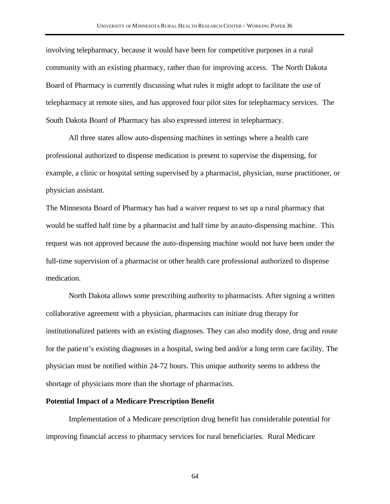involving telepharmacy, because it would have been for competitive purposes in a rural community with an existing pharmacy, rather than for improving access. The North Dakota Board of Pharmacy is currently discussing what rules it might adopt to facilitate the use of telepharmacy at remote sites, and has approved four pilot sites for telepharmacy services. The South Dakota Board of Pharmacy has also expressed interest in telepharmacy.

All three states allow auto-dispensing machines in settings where a health care professional authorized to dispense medication is present to supervise the dispensing, for example, a clinic or hospital setting supervised by a pharmacist, physician, nurse practitioner, or physician assistant.

The Minnesota Board of Pharmacy has had a waiver request to set up a rural pharmacy that would be staffed half time by a pharmacist and half time by an auto-dispensing machine. This request was not approved because the auto-dispensing machine would not have been under the full-time supervision of a pharmacist or other health care professional authorized to dispense medication.

North Dakota allows some prescribing authority to pharmacists. After signing a written collaborative agreement with a physician, pharmacists can initiate drug therapy for institutionalized patients with an existing diagnoses. They can also modify dose, drug and route for the patient's existing diagnoses in a hospital, swing bed and/or a long term care facility. The physician must be notified within 24-72 hours. This unique authority seems to address the shortage of physicians more than the shortage of pharmacists.

#### **Potential Impact of a Medicare Prescription Benefit**

Implementation of a Medicare prescription drug benefit has considerable potential for improving financial access to pharmacy services for rural beneficiaries. Rural Medicare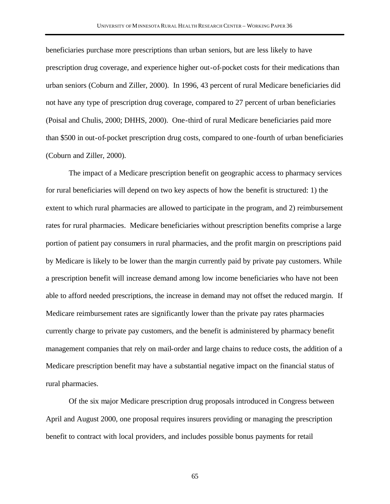beneficiaries purchase more prescriptions than urban seniors, but are less likely to have prescription drug coverage, and experience higher out-of-pocket costs for their medications than urban seniors (Coburn and Ziller, 2000). In 1996, 43 percent of rural Medicare beneficiaries did not have any type of prescription drug coverage, compared to 27 percent of urban beneficiaries (Poisal and Chulis, 2000; DHHS, 2000). One-third of rural Medicare beneficiaries paid more than \$500 in out-of-pocket prescription drug costs, compared to one-fourth of urban beneficiaries (Coburn and Ziller, 2000).

The impact of a Medicare prescription benefit on geographic access to pharmacy services for rural beneficiaries will depend on two key aspects of how the benefit is structured: 1) the extent to which rural pharmacies are allowed to participate in the program, and 2) reimbursement rates for rural pharmacies. Medicare beneficiaries without prescription benefits comprise a large portion of patient pay consumers in rural pharmacies, and the profit margin on prescriptions paid by Medicare is likely to be lower than the margin currently paid by private pay customers. While a prescription benefit will increase demand among low income beneficiaries who have not been able to afford needed prescriptions, the increase in demand may not offset the reduced margin. If Medicare reimbursement rates are significantly lower than the private pay rates pharmacies currently charge to private pay customers, and the benefit is administered by pharmacy benefit management companies that rely on mail-order and large chains to reduce costs, the addition of a Medicare prescription benefit may have a substantial negative impact on the financial status of rural pharmacies.

Of the six major Medicare prescription drug proposals introduced in Congress between April and August 2000, one proposal requires insurers providing or managing the prescription benefit to contract with local providers, and includes possible bonus payments for retail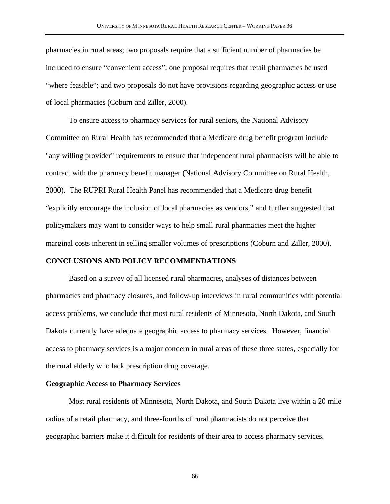pharmacies in rural areas; two proposals require that a sufficient number of pharmacies be included to ensure "convenient access"; one proposal requires that retail pharmacies be used "where feasible"; and two proposals do not have provisions regarding geographic access or use of local pharmacies (Coburn and Ziller, 2000).

To ensure access to pharmacy services for rural seniors, the National Advisory Committee on Rural Health has recommended that a Medicare drug benefit program include "any willing provider" requirements to ensure that independent rural pharmacists will be able to contract with the pharmacy benefit manager (National Advisory Committee on Rural Health, 2000). The RUPRI Rural Health Panel has recommended that a Medicare drug benefit "explicitly encourage the inclusion of local pharmacies as vendors," and further suggested that policymakers may want to consider ways to help small rural pharmacies meet the higher marginal costs inherent in selling smaller volumes of prescriptions (Coburn and Ziller, 2000).

#### **CONCLUSIONS AND POLICY RECOMMENDATIONS**

Based on a survey of all licensed rural pharmacies, analyses of distances between pharmacies and pharmacy closures, and follow-up interviews in rural communities with potential access problems, we conclude that most rural residents of Minnesota, North Dakota, and South Dakota currently have adequate geographic access to pharmacy services. However, financial access to pharmacy services is a major concern in rural areas of these three states, especially for the rural elderly who lack prescription drug coverage.

#### **Geographic Access to Pharmacy Services**

Most rural residents of Minnesota, North Dakota, and South Dakota live within a 20 mile radius of a retail pharmacy, and three-fourths of rural pharmacists do not perceive that geographic barriers make it difficult for residents of their area to access pharmacy services.

66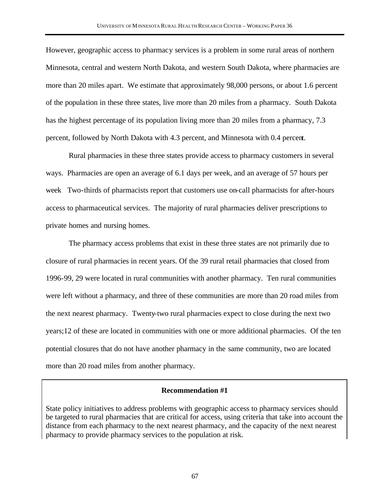However, geographic access to pharmacy services is a problem in some rural areas of northern Minnesota, central and western North Dakota, and western South Dakota, where pharmacies are more than 20 miles apart. We estimate that approximately 98,000 persons, or about 1.6 percent of the population in these three states, live more than 20 miles from a pharmacy. South Dakota has the highest percentage of its population living more than 20 miles from a pharmacy, 7.3 percent, followed by North Dakota with 4.3 percent, and Minnesota with 0.4 percent.

Rural pharmacies in these three states provide access to pharmacy customers in several ways. Pharmacies are open an average of 6.1 days per week, and an average of 57 hours per week Two-thirds of pharmacists report that customers use on-call pharmacists for after-hours access to pharmaceutical services. The majority of rural pharmacies deliver prescriptions to private homes and nursing homes.

The pharmacy access problems that exist in these three states are not primarily due to closure of rural pharmacies in recent years. Of the 39 rural retail pharmacies that closed from 1996-99, 29 were located in rural communities with another pharmacy. Ten rural communities were left without a pharmacy, and three of these communities are more than 20 road miles from the next nearest pharmacy. Twenty-two rural pharmacies expect to close during the next two years;12 of these are located in communities with one or more additional pharmacies. Of the ten potential closures that do not have another pharmacy in the same community, two are located more than 20 road miles from another pharmacy.

### **Recommendation #1**

State policy initiatives to address problems with geographic access to pharmacy services should be targeted to rural pharmacies that are critical for access, using criteria that take into account the distance from each pharmacy to the next nearest pharmacy, and the capacity of the next nearest pharmacy to provide pharmacy services to the population at risk.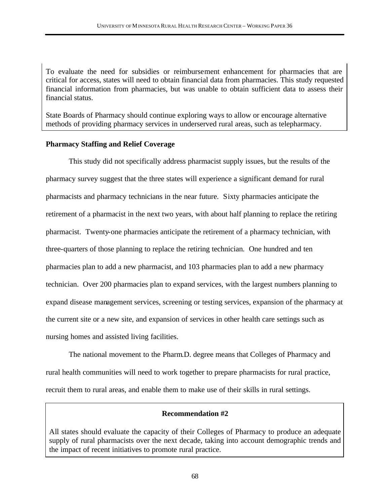To evaluate the need for subsidies or reimbursement enhancement for pharmacies that are critical for access, states will need to obtain financial data from pharmacies. This study requested financial information from pharmacies, but was unable to obtain sufficient data to assess their financial status.

State Boards of Pharmacy should continue exploring ways to allow or encourage alternative methods of providing pharmacy services in underserved rural areas, such as telepharmacy.

### **Pharmacy Staffing and Relief Coverage**

This study did not specifically address pharmacist supply issues, but the results of the pharmacy survey suggest that the three states will experience a significant demand for rural pharmacists and pharmacy technicians in the near future. Sixty pharmacies anticipate the retirement of a pharmacist in the next two years, with about half planning to replace the retiring pharmacist. Twenty-one pharmacies anticipate the retirement of a pharmacy technician, with three-quarters of those planning to replace the retiring technician. One hundred and ten pharmacies plan to add a new pharmacist, and 103 pharmacies plan to add a new pharmacy technician. Over 200 pharmacies plan to expand services, with the largest numbers planning to expand disease management services, screening or testing services, expansion of the pharmacy at the current site or a new site, and expansion of services in other health care settings such as nursing homes and assisted living facilities.

The national movement to the Pharm.D. degree means that Colleges of Pharmacy and rural health communities will need to work together to prepare pharmacists for rural practice, recruit them to rural areas, and enable them to make use of their skills in rural settings.

### **Recommendation #2**

All states should evaluate the capacity of their Colleges of Pharmacy to produce an adequate supply of rural pharmacists over the next decade, taking into account demographic trends and the impact of recent initiatives to promote rural practice.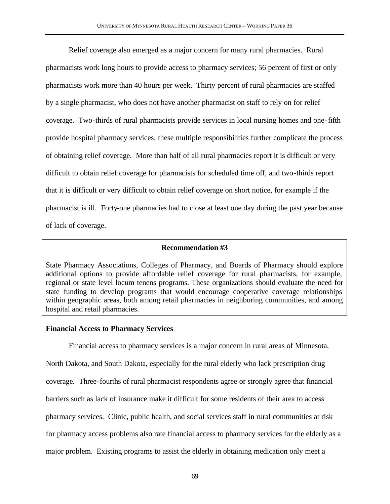Relief coverage also emerged as a major concern for many rural pharmacies. Rural pharmacists work long hours to provide access to pharmacy services; 56 percent of first or only pharmacists work more than 40 hours per week. Thirty percent of rural pharmacies are staffed by a single pharmacist, who does not have another pharmacist on staff to rely on for relief coverage. Two-thirds of rural pharmacists provide services in local nursing homes and one-fifth provide hospital pharmacy services; these multiple responsibilities further complicate the process of obtaining relief coverage. More than half of all rural pharmacies report it is difficult or very difficult to obtain relief coverage for pharmacists for scheduled time off, and two-thirds report that it is difficult or very difficult to obtain relief coverage on short notice, for example if the pharmacist is ill. Forty-one pharmacies had to close at least one day during the past year because of lack of coverage.

#### **Recommendation #3**

State Pharmacy Associations, Colleges of Pharmacy, and Boards of Pharmacy should explore additional options to provide affordable relief coverage for rural pharmacists, for example, regional or state level locum tenens programs. These organizations should evaluate the need for state funding to develop programs that would encourage cooperative coverage relationships within geographic areas, both among retail pharmacies in neighboring communities, and among hospital and retail pharmacies.

### **Financial Access to Pharmacy Services**

Financial access to pharmacy services is a major concern in rural areas of Minnesota,

North Dakota, and South Dakota, especially for the rural elderly who lack prescription drug coverage. Three-fourths of rural pharmacist respondents agree or strongly agree that financial barriers such as lack of insurance make it difficult for some residents of their area to access pharmacy services. Clinic, public health, and social services staff in rural communities at risk

for pharmacy access problems also rate financial access to pharmacy services for the elderly as a

major problem. Existing programs to assist the elderly in obtaining medication only meet a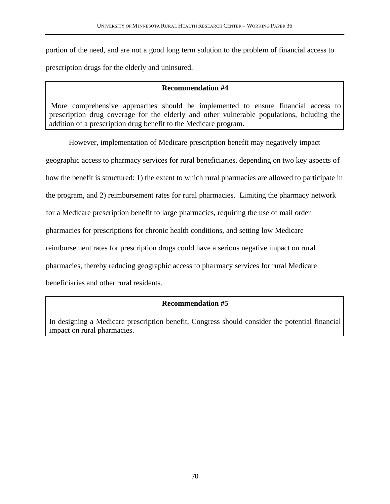portion of the need, and are not a good long term solution to the problem of financial access to prescription drugs for the elderly and uninsured.

### **Recommendation #4**

 More comprehensive approaches should be implemented to ensure financial access to prescription drug coverage for the elderly and other vulnerable populations, including the addition of a prescription drug benefit to the Medicare program.

However, implementation of Medicare prescription benefit may negatively impact geographic access to pharmacy services for rural beneficiaries, depending on two key aspects of how the benefit is structured: 1) the extent to which rural pharmacies are allowed to participate in the program, and 2) reimbursement rates for rural pharmacies. Limiting the pharmacy network for a Medicare prescription benefit to large pharmacies, requiring the use of mail order pharmacies for prescriptions for chronic health conditions, and setting low Medicare reimbursement rates for prescription drugs could have a serious negative impact on rural pharmacies, thereby reducing geographic access to pha rmacy services for rural Medicare beneficiaries and other rural residents.

# **Recommendation #5**

In designing a Medicare prescription benefit, Congress should consider the potential financial impact on rural pharmacies.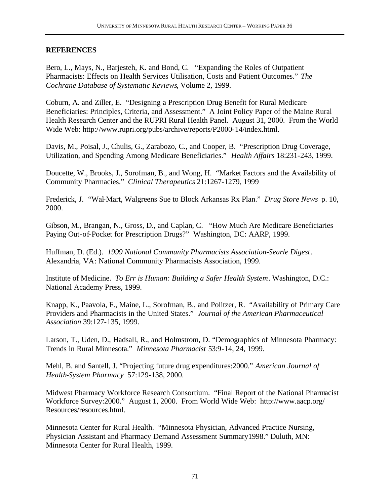## **REFERENCES**

Bero, L., Mays, N., Barjesteh, K. and Bond, C. "Expanding the Roles of Outpatient Pharmacists: Effects on Health Services Utilisation, Costs and Patient Outcomes." *The Cochrane Database of Systematic Reviews*, Volume 2, 1999.

Coburn, A. and Ziller, E. "Designing a Prescription Drug Benefit for Rural Medicare Beneficiaries: Principles, Criteria, and Assessment." A Joint Policy Paper of the Maine Rural Health Research Center and the RUPRI Rural Health Panel. August 31, 2000. From the World Wide Web: http://www.rupri.org/pubs/archive/reports/P2000-14/index.html.

Davis, M., Poisal, J., Chulis, G., Zarabozo, C., and Cooper, B. "Prescription Drug Coverage, Utilization, and Spending Among Medicare Beneficiaries." *Health Affairs* 18:231-243, 1999.

Doucette, W., Brooks, J., Sorofman, B., and Wong, H. "Market Factors and the Availability of Community Pharmacies." *Clinical Therapeutics* 21:1267-1279, 1999

Frederick, J. "Wal-Mart, Walgreens Sue to Block Arkansas Rx Plan." *Drug Store News* p. 10, 2000.

Gibson, M., Brangan, N., Gross, D., and Caplan, C. "How Much Are Medicare Beneficiaries Paying Out-of-Pocket for Prescription Drugs?" Washington, DC: AARP, 1999.

Huffman, D. (Ed.). *1999 National Community Pharmacists Association-Searle Digest*. Alexandria, VA: National Community Pharmacists Association, 1999.

Institute of Medicine. *To Err is Human: Building a Safer Health System*. Washington, D.C.: National Academy Press, 1999.

Knapp, K., Paavola, F., Maine, L., Sorofman, B., and Politzer, R. "Availability of Primary Care Providers and Pharmacists in the United States." *Journal of the American Pharmaceutical Association* 39:127-135, 1999.

Larson, T., Uden, D., Hadsall, R., and Holmstrom, D. "Demographics of Minnesota Pharmacy: Trends in Rural Minnesota." *Minnesota Pharmacist* 53:9-14, 24, 1999.

Mehl, B. and Santell, J. "Projecting future drug expenditures:2000." *American Journal of Health-System Pharmacy* 57:129-138, 2000.

Midwest Pharmacy Workforce Research Consortium. "Final Report of the National Pharmacist Workforce Survey:2000." August 1, 2000. From World Wide Web: http://www.aacp.org/ Resources/resources.html.

Minnesota Center for Rural Health. "Minnesota Physician, Advanced Practice Nursing, Physician Assistant and Pharmacy Demand Assessment Summary1998." Duluth, MN: Minnesota Center for Rural Health, 1999.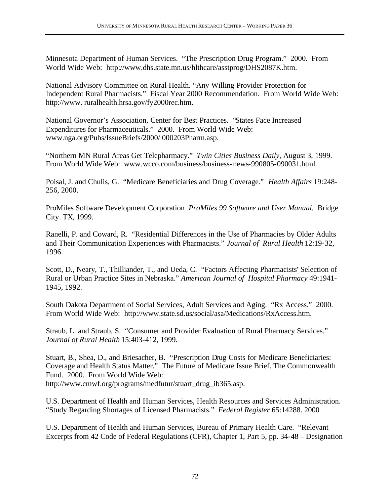Minnesota Department of Human Services. "The Prescription Drug Program." 2000. From World Wide Web: http://www.dhs.state.mn.us/hlthcare/asstprog/DHS2087K.htm.

National Advisory Committee on Rural Health. "Any Willing Provider Protection for Independent Rural Pharmacists." Fiscal Year 2000 Recommendation. From World Wide Web: http://www. ruralhealth.hrsa.gov/fy2000rec.htm.

National Governor's Association, Center for Best Practices. "States Face Increased Expenditures for Pharmaceuticals." 2000. From World Wide Web: www.nga.org/Pubs/IssueBriefs/2000/ 000203Pharm.asp.

"Northern MN Rural Areas Get Telepharmacy." *Twin Cities Business Daily*, August 3, 1999. From World Wide Web: www.wcco.com/business/business-news-990805-090031.html.

Poisal, J. and Chulis, G. "Medicare Beneficiaries and Drug Coverage." *Health Affairs* 19:248- 256, 2000.

ProMiles Software Development Corporation *ProMiles 99 Software and User Manual.* Bridge City. TX, 1999.

Ranelli, P. and Coward, R. "Residential Differences in the Use of Pharmacies by Older Adults and Their Communication Experiences with Pharmacists." *Journal of Rural Health* 12:19-32, 1996.

Scott, D., Neary, T., Thilliander, T., and Ueda, C. "Factors Affecting Pharmacists' Selection of Rural or Urban Practice Sites in Nebraska." *American Journal of Hospital Pharmacy* 49:1941- 1945, 1992.

South Dakota Department of Social Services, Adult Services and Aging. "Rx Access." 2000. From World Wide Web: http://www.state.sd.us/social/asa/Medications/RxAccess.htm.

Straub, L. and Straub, S. "Consumer and Provider Evaluation of Rural Pharmacy Services." *Journal of Rural Health* 15:403-412, 1999.

Stuart, B., Shea, D., and Briesacher, B. "Prescription Drug Costs for Medicare Beneficiaries: Coverage and Health Status Matter." The Future of Medicare Issue Brief. The Commonwealth Fund. 2000. From World Wide Web: http://www.cmwf.org/programs/medfutur/stuart\_drug\_ib365.asp.

U.S. Department of Health and Human Services, Health Resources and Services Administration. "Study Regarding Shortages of Licensed Pharmacists." *Federal Register* 65:14288. 2000

U.S. Department of Health and Human Services, Bureau of Primary Health Care. "Relevant Excerpts from 42 Code of Federal Regulations (CFR), Chapter 1, Part 5, pp. 34-48 – Designation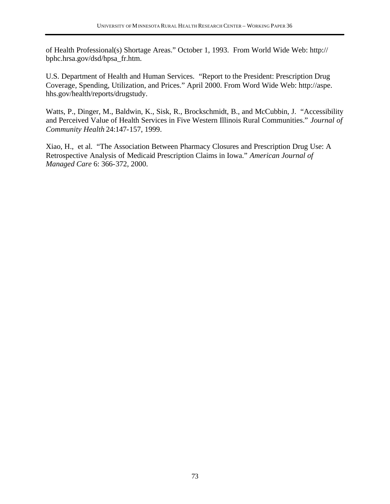of Health Professional(s) Shortage Areas." October 1, 1993. From World Wide Web: http:// bphc.hrsa.gov/dsd/hpsa\_fr.htm.

U.S. Department of Health and Human Services. "Report to the President: Prescription Drug Coverage, Spending, Utilization, and Prices." April 2000. From Word Wide Web: http://aspe. hhs.gov/health/reports/drugstudy.

Watts, P., Dinger, M., Baldwin, K., Sisk, R., Brockschmidt, B., and McCubbin, J. "Accessibility and Perceived Value of Health Services in Five Western Illinois Rural Communities." *Journal of Community Health* 24:147-157, 1999.

Xiao, H., et al. "The Association Between Pharmacy Closures and Prescription Drug Use: A Retrospective Analysis of Medicaid Prescription Claims in Iowa." *American Journal of Managed Care* 6: 366-372, 2000.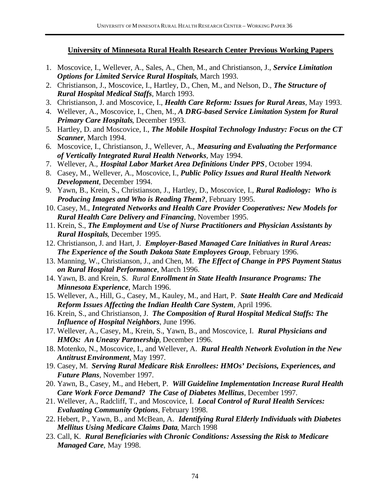# **University of Minnesota Rural Health Research Center Previous Working Papers**

- 1. Moscovice, I., Wellever, A., Sales, A., Chen, M., and Christianson, J., *Service Limitation Options for Limited Service Rural Hospitals*, March 1993.
- 2. Christianson, J., Moscovice, I., Hartley, D., Chen, M., and Nelson, D., *The Structure of Rural Hospital Medical Staffs*, March 1993.
- 3. Christianson, J. and Moscovice, I., *Health Care Reform: Issues for Rural Areas*, May 1993.
- 4. Wellever, A., Moscovice, I., Chen, M., *A DRG-based Service Limitation System for Rural Primary Care Hospitals*, December 1993.
- 5. Hartley, D. and Moscovice, I., *The Mobile Hospital Technology Industry: Focus on the CT Scanner*, March 1994.
- 6. Moscovice, I., Christianson, J., Wellever, A., *Measuring and Evaluating the Performance of Vertically Integrated Rural Health Networks*, May 1994.
- 7. Wellever, A., *Hospital Labor Market Area Definitions Under PPS*, October 1994.
- 8. Casey, M., Wellever, A., Moscovice, I., *Public Policy Issues and Rural Health Network Development,* December 1994.
- 9. Yawn, B., Krein, S., Christianson, J., Hartley, D., Moscovice, I., *Rural Radiology: Who is Producing Images and Who is Reading Them?*, February 1995.
- 10. Casey, M., *Integrated Networks and Health Care Provider Cooperatives: New Models for Rural Health Care Delivery and Financing*, November 1995.
- 11. Krein, S., *The Employment and Use of Nurse Practitioners and Physician Assistants by Rural Hospitals,* December 1995.
- 12. Christianson, J. and Hart, J. *Employer-Based Managed Care Initiatives in Rural Areas: The Experience of the South Dakota State Employees Group*, February 1996.
- 13. Manning, W., Christianson, J., and Chen, M. *The Effect of Change in PPS Payment Status on Rural Hospital Performance*, March 1996.
- 14. Yawn, B. and Krein, S. *Rural Enrollment in State Health Insurance Programs: The Minnesota Experience*, March 1996.
- 15. Wellever, A., Hill, G., Casey, M., Kauley, M., and Hart, P. *State Health Care and Medicaid Reform Issues Affecting the Indian Health Care System*, April 1996.
- 16. Krein, S., and Christianson, J. *The Composition of Rural Hospital Medical Staffs: The Influence of Hospital Neighbors*, June 1996.
- 17. Wellever, A., Casey, M., Krein, S., Yawn, B., and Moscovice, I. *Rural Physicians and HMOs: An Uneasy Partnership*, December 1996.
- 18. Motenko, N., Moscovice, I., and Wellever, A. *Rural Health Network Evolution in the New Antitrust Environment*, May 1997.
- 19. Casey, M. *Serving Rural Medicare Risk Enrollees: HMOs' Decisions, Experiences, and Future Plans,* November 1997.
- 20. Yawn, B., Casey, M., and Hebert, P. *Will Guideline Implementation Increase Rural Health Care Work Force Demand? The Case of Diabetes Mellitus*, December 1997.
- 21. Wellever, A., Radcliff, T., and Moscovice, I*. Local Control of Rural Health Services: Evaluating Community Options*, February 1998.
- 22. Hebert, P., Yawn, B., and McBean, A. *Identifying Rural Elderly Individuals with Diabetes Mellitus Using Medicare Claims Data*, March 1998
- 23. Call, K*. Rural Beneficiaries with Chronic Conditions: Assessing the Risk to Medicare Managed Care*, May 1998.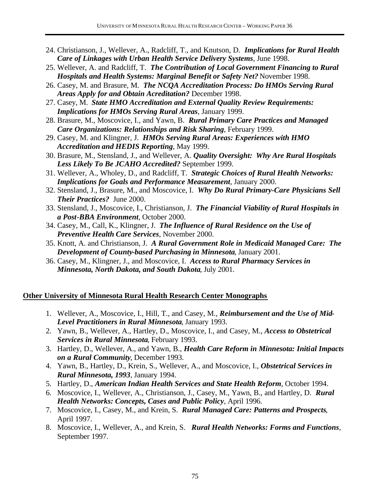- 24. Christianson, J., Wellever, A., Radcliff, T., and Knutson, D. *Implications for Rural Health Care of Linkages with Urban Health Service Delivery Systems*, June 1998.
- 25. Wellever, A. and Radcliff, T. *The Contribution of Local Government Financing to Rural Hospitals and Health Systems: Marginal Benefit or Safety Net?* November 1998.
- 26. Casey, M. and Brasure, M. *The NCQA Accreditation Process: Do HMOs Serving Rural Areas Apply for and Obtain Acreditation?* December 1998.
- 27. Casey, M. *State HMO Accreditation and External Quality Review Requirements: Implications for HMOs Serving Rural Areas,* January 1999.
- 28. Brasure, M., Moscovice, I., and Yawn, B. *Rural Primary Care Practices and Managed Care Organizations: Relationships and Risk Sharing*, February 1999.
- 29. Casey, M. and Klingner, J. *HMOs Serving Rural Areas: Experiences with HMO Accreditation and HEDIS Reporting*, May 1999.
- 30. Brasure, M., Stensland, J., and Wellever, A. *Quality Oversight: Why Are Rural Hospitals Less Likely To Be JCAHO Accredited?* September 1999.
- 31. Wellever, A., Wholey, D., and Radcliff, T. *Strategic Choices of Rural Health Networks: Implications for Goals and Performance Measurement*, January 2000.
- 32. Stensland, J., Brasure, M., and Moscovice, I. *Why Do Rural Primary-Care Physicians Sell Their Practices?* June 2000.
- 33. Stensland, J., Moscovice, I., Christianson, J. *The Financial Viability of Rural Hospitals in a Post-BBA Environment*, October 2000.
- 34. Casey, M., Call, K., Klingner, J. *The Influence of Rural Residence on the Use of Preventive Health Care Services*, November 2000.
- 35. Knott, A. and Christianson, J. *A Rural Government Role in Medicaid Managed Care: The Development of County-based Purchasing in Minnesota*, January 2001.
- 36. Casey, M., Klingner, J., and Moscovice, I. *Access to Rural Pharmacy Services in Minnesota, North Dakota, and South Dakota*, July 2001.

# **Other University of Minnesota Rural Health Research Center Monographs**

- 1. Wellever, A., Moscovice, I., Hill, T., and Casey, M., *Reimbursement and the Use of Mid-Level Practitioners in Rural Minnesota*, January 1993.
- 2. Yawn, B., Wellever, A., Hartley, D., Moscovice, I., and Casey, M., *Access to Obstetrical Services in Rural Minnesota*, February 1993.
- 3. Hartley, D., Wellever, A., and Yawn, B., *Health Care Reform in Minnesota: Initial Impacts on a Rural Community*, December 1993.
- 4. Yawn, B., Hartley, D., Krein, S., Wellever, A., and Moscovice, I., *Obstetrical Services in Rural Minnesota, 1993*, January 1994.
- 5. Hartley, D., *American Indian Health Services and State Health Reform*, October 1994.
- 6. Moscovice, I., Wellever, A., Christianson, J., Casey, M., Yawn, B., and Hartley, D. *Rural Health Networks: Concepts, Cases and Public Policy*, April 1996.
- 7. Moscovice, I., Casey, M., and Krein, S. *Rural Managed Care: Patterns and Prospects*, April 1997.
- 8. Moscovice, I., Wellever, A., and Krein, S. *Rural Health Networks: Forms and Functions*, September 1997.